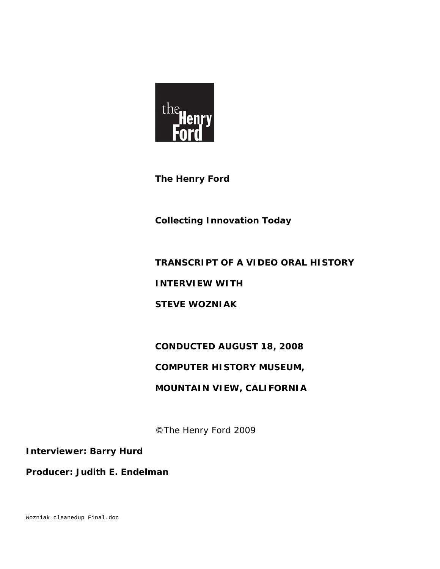

**The Henry Ford** 

**Collecting Innovation Today** 

# **TRANSCRIPT OF A VIDEO ORAL HISTORY**

**INTERVIEW WITH** 

**STEVE WOZNIAK** 

# **CONDUCTED AUGUST 18, 2008**

# **COMPUTER HISTORY MUSEUM,**

# **MOUNTAIN VIEW, CALIFORNIA**

©The Henry Ford 2009

**Interviewer: Barry Hurd** 

**Producer: Judith E. Endelman** 

Wozniak cleanedup Final.doc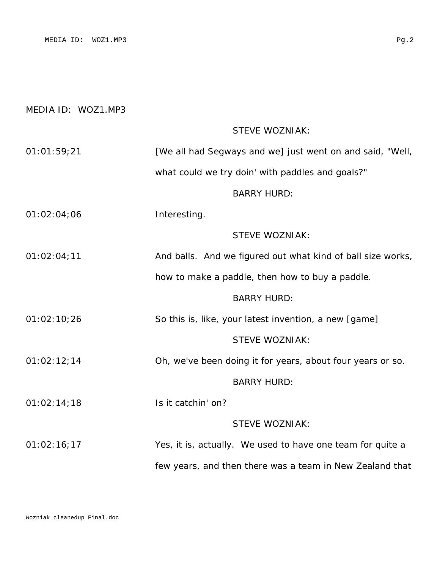### MEDIA ID: WOZ1.MP3

# STEVE WOZNIAK:

| 01:01:59:21 | [We all had Segways and we] just went on and said, "Well, |
|-------------|-----------------------------------------------------------|
|             | what could we try doin' with paddles and goals?"          |

#### BARRY HURD:

01:02:04;06 Interesting.

## STEVE WOZNIAK:

01:02:04;11 **And balls.** And we figured out what kind of ball size works,

how to make a paddle, then how to buy a paddle.

#### BARRY HURD:

01:02:10;26 So this is, like, your latest invention, a new [game]

# STEVE WOZNIAK:

01:02:12;14 Oh, we've been doing it for years, about four years or so.

#### BARRY HURD:

01:02:14;18 Is it catchin' on?

#### STEVE WOZNIAK:

01:02:16;17 Yes, it is, actually. We used to have one team for quite a few years, and then there was a team in New Zealand that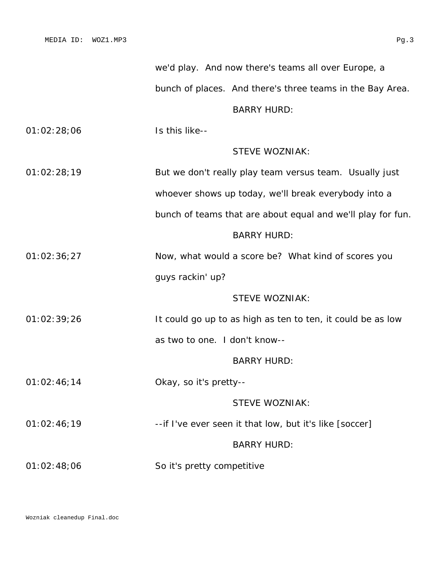|             |                               | bunch of places. And there's three teams in the Bay Area.   |
|-------------|-------------------------------|-------------------------------------------------------------|
|             |                               | <b>BARRY HURD:</b>                                          |
| 01:02:28;06 | Is this like--                |                                                             |
|             |                               | <b>STEVE WOZNIAK:</b>                                       |
| 01:02:28;19 |                               | But we don't really play team versus team. Usually just     |
|             |                               | whoever shows up today, we'll break everybody into a        |
|             |                               | bunch of teams that are about equal and we'll play for fun. |
|             |                               | <b>BARRY HURD:</b>                                          |
| 01:02:36;27 |                               | Now, what would a score be? What kind of scores you         |
|             | guys rackin' up?              |                                                             |
|             |                               | <b>STEVE WOZNIAK:</b>                                       |
| 01:02:39;26 |                               | It could go up to as high as ten to ten, it could be as low |
|             | as two to one. I don't know-- |                                                             |
|             |                               | <b>BARRY HURD:</b>                                          |
| 01:02:46;14 | Okay, so it's pretty--        |                                                             |
|             |                               | STEVE WOZNIAK:                                              |
| 01:02:46;19 |                               | --if I've ever seen it that low, but it's like [soccer]     |
|             |                               | <b>BARRY HURD:</b>                                          |
| 01:02:48;06 | So it's pretty competitive    |                                                             |

we'd play. And now there's teams all over Europe, a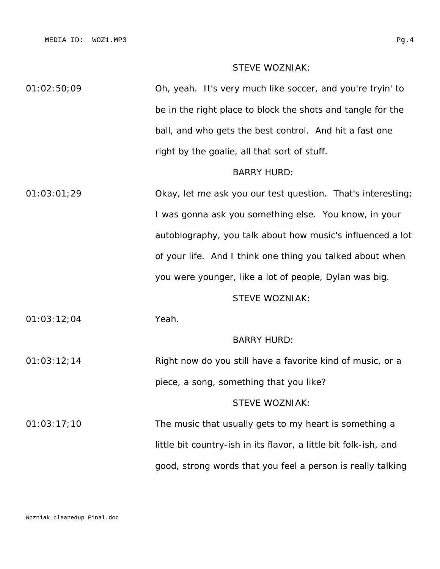## STEVE WOZNIAK:

01:02:50;09 Oh, yeah. It's very much like soccer, and you're tryin' to be in the right place to block the shots and tangle for the ball, and who gets the best control. And hit a fast one right by the goalie, all that sort of stuff.

#### BARRY HURD:

01:03:01;29 Okay, let me ask you our test question. That's interesting; I was gonna ask you something else. You know, in your autobiography, you talk about how music's influenced a lot of your life. And I think one thing you talked about when you were younger, like a lot of people, Dylan was big.

### STEVE WOZNIAK:

01:03:12;04 Yeah.

#### BARRY HURD:

01:03:12;14 Right now do you still have a favorite kind of music, or a piece, a song, something that you like? STEVE WOZNIAK:

01:03:17;10 The music that usually gets to my heart is something a little bit country-ish in its flavor, a little bit folk-ish, and good, strong words that you feel a person is really talking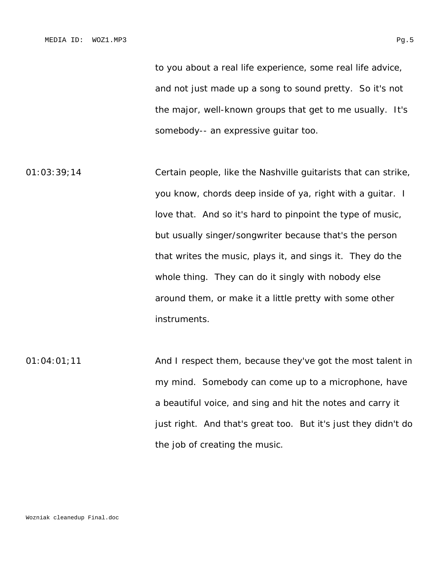to you about a real life experience, some real life advice, and not just made up a song to sound pretty. So it's not the major, well-known groups that get to me usually. It's somebody-- an expressive guitar too.

01:03:39;14 Certain people, like the Nashville guitarists that can strike, you know, chords deep inside of ya, right with a guitar. I love that. And so it's hard to pinpoint the type of music, but usually singer/songwriter because that's the person that writes the music, plays it, and sings it. They do the whole thing. They can do it singly with nobody else around them, or make it a little pretty with some other instruments.

01:04:01;11 **And I respect them, because they've got the most talent in** my mind. Somebody can come up to a microphone, have a beautiful voice, and sing and hit the notes and carry it just right. And that's great too. But it's just they didn't do the job of creating the music.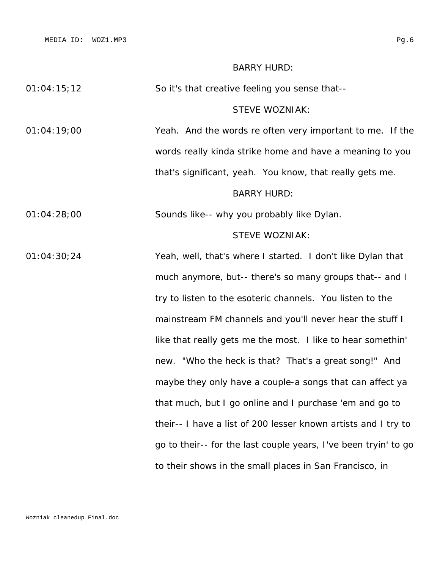#### BARRY HURD:

#### STEVE WOZNIAK:

01:04:19;00 Yeah. And the words re often very important to me. If the words really kinda strike home and have a meaning to you that's significant, yeah. You know, that really gets me.

# BARRY HURD:

01:04:28;00 Sounds like-- why you probably like Dylan.

#### STEVE WOZNIAK:

01:04:30;24 Yeah, well, that's where I started. I don't like Dylan that much anymore, but-- there's so many groups that-- and I try to listen to the esoteric channels. You listen to the mainstream FM channels and you'll never hear the stuff I like that really gets me the most. I like to hear somethin' new. "Who the heck is that? That's a great song!" And maybe they only have a couple-a songs that can affect ya that much, but I go online and I purchase 'em and go to their-- I have a list of 200 lesser known artists and I try to go to their-- for the last couple years, I've been tryin' to go to their shows in the small places in San Francisco, in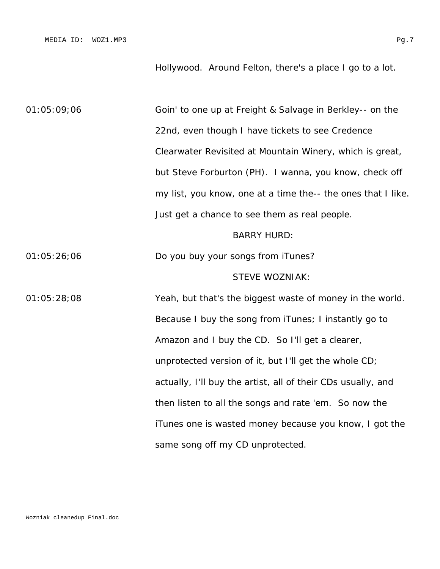Hollywood. Around Felton, there's a place I go to a lot.

01:05:09;06 Goin' to one up at Freight & Salvage in Berkley-- on the 22nd, even though I have tickets to see Credence Clearwater Revisited at Mountain Winery, which is great, but Steve Forburton (PH). I wanna, you know, check off my list, you know, one at a time the-- the ones that I like. Just get a chance to see them as real people. BARRY HURD: 01:05:26;06 Do you buy your songs from iTunes? STEVE WOZNIAK: 01:05:28;08 Yeah, but that's the biggest waste of money in the world. Because I buy the song from iTunes; I instantly go to Amazon and I buy the CD. So I'll get a clearer, unprotected version of it, but I'll get the whole CD; actually, I'll buy the artist, all of their CDs usually, and then listen to all the songs and rate 'em. So now the iTunes one is wasted money because you know, I got the same song off my CD unprotected.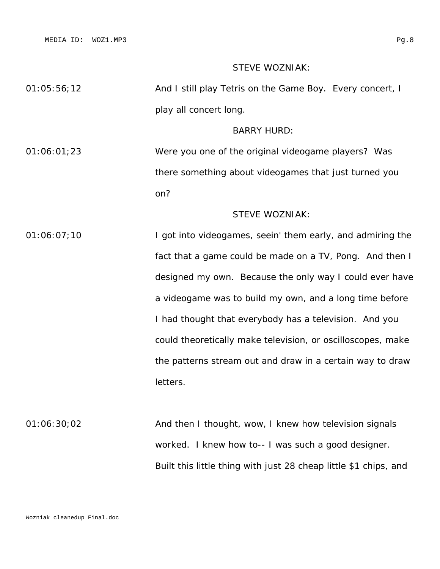## STEVE WOZNIAK:

| 01:05:56:12 | And I still play Tetris on the Game Boy. Every concert, I |  |
|-------------|-----------------------------------------------------------|--|
|             | play all concert long.                                    |  |

#### BARRY HURD:

01:06:01;23 Were you one of the original videogame players? Was there something about videogames that just turned you on?

# STEVE WOZNIAK:

01:06:07;10 I got into videogames, seein' them early, and admiring the fact that a game could be made on a TV, Pong. And then I designed my own. Because the only way I could ever have a videogame was to build my own, and a long time before I had thought that everybody has a television. And you could theoretically make television, or oscilloscopes, make the patterns stream out and draw in a certain way to draw letters.

01:06:30;02 And then I thought, wow, I knew how television signals worked. I knew how to-- I was such a good designer. Built this little thing with just 28 cheap little \$1 chips, and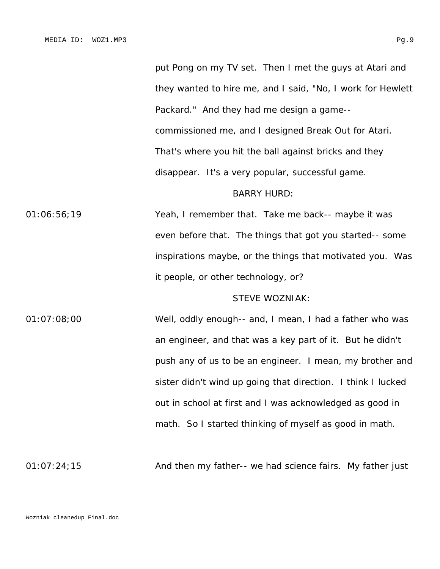put Pong on my TV set. Then I met the guys at Atari and they wanted to hire me, and I said, "No, I work for Hewlett Packard." And they had me design a game- commissioned me, and I designed Break Out for Atari. That's where you hit the ball against bricks and they disappear. It's a very popular, successful game.

#### BARRY HURD:

01:06:56;19 Yeah, I remember that. Take me back-- maybe it was even before that. The things that got you started-- some inspirations maybe, or the things that motivated you. Was it people, or other technology, or?

### STEVE WOZNIAK:

01:07:08;00 Well, oddly enough-- and, I mean, I had a father who was an engineer, and that was a key part of it. But he didn't push any of us to be an engineer. I mean, my brother and sister didn't wind up going that direction. I think I lucked out in school at first and I was acknowledged as good in math. So I started thinking of myself as good in math.

01:07:24;15 And then my father-- we had science fairs. My father just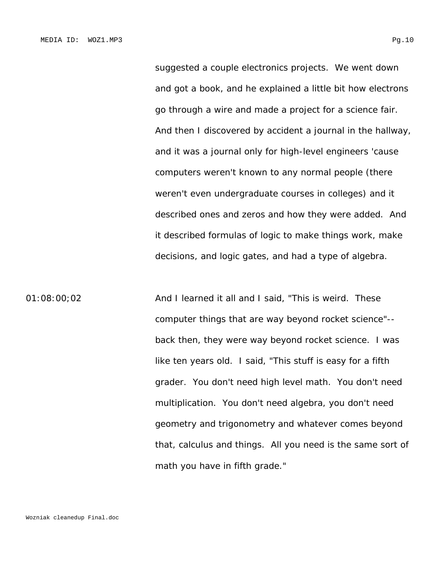suggested a couple electronics projects. We went down and got a book, and he explained a little bit how electrons go through a wire and made a project for a science fair. And then I discovered by accident a journal in the hallway, and it was a journal only for high-level engineers 'cause computers weren't known to any normal people (there weren't even undergraduate courses in colleges) and it described ones and zeros and how they were added. And it described formulas of logic to make things work, make decisions, and logic gates, and had a type of algebra.

01:08:00;02 And I learned it all and I said, "This is weird. These computer things that are way beyond rocket science"- back then, they were way beyond rocket science. I was like ten years old. I said, "This stuff is easy for a fifth grader. You don't need high level math. You don't need multiplication. You don't need algebra, you don't need geometry and trigonometry and whatever comes beyond that, calculus and things. All you need is the same sort of math you have in fifth grade."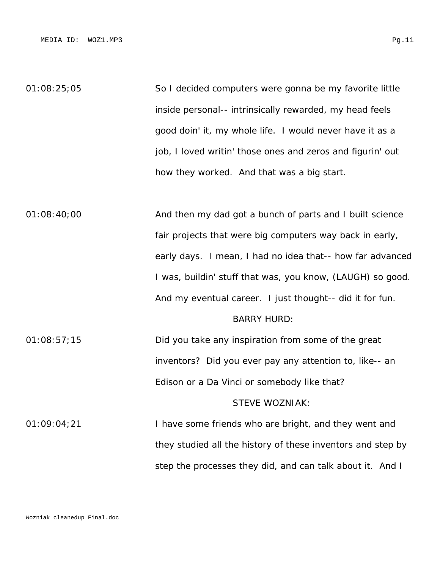01:08:25;05 So I decided computers were gonna be my favorite little inside personal-- intrinsically rewarded, my head feels good doin' it, my whole life. I would never have it as a job, I loved writin' those ones and zeros and figurin' out how they worked. And that was a big start.

01:08:40;00 And then my dad got a bunch of parts and I built science fair projects that were big computers way back in early, early days. I mean, I had no idea that-- how far advanced I was, buildin' stuff that was, you know, (LAUGH) so good. And my eventual career. I just thought-- did it for fun. BARRY HURD: 01:08:57;15 Did you take any inspiration from some of the great inventors? Did you ever pay any attention to, like-- an Edison or a Da Vinci or somebody like that? STEVE WOZNIAK: 01:09:04;21 I have some friends who are bright, and they went and they studied all the history of these inventors and step by step the processes they did, and can talk about it. And I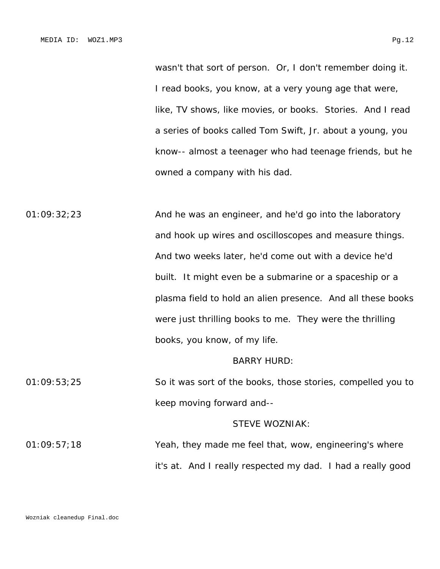wasn't that sort of person. Or, I don't remember doing it. I read books, you know, at a very young age that were, like, TV shows, like movies, or books. Stories. And I read a series of books called *Tom Swift, Jr.* about a young, you know-- almost a teenager who had teenage friends, but he owned a company with his dad.

01:09:32;23 And he was an engineer, and he'd go into the laboratory and hook up wires and oscilloscopes and measure things. And two weeks later, he'd come out with a device he'd built. It might even be a submarine or a spaceship or a plasma field to hold an alien presence. And all these books were just thrilling books to me. They were the thrilling books, you know, of my life. BARRY HURD:

# 01:09:53;25 So it was sort of the books, those stories, compelled you to keep moving forward and--

#### STEVE WOZNIAK:

01:09:57;18 Yeah, they made me feel that, wow, engineering's where it's at. And I really respected my dad. I had a really good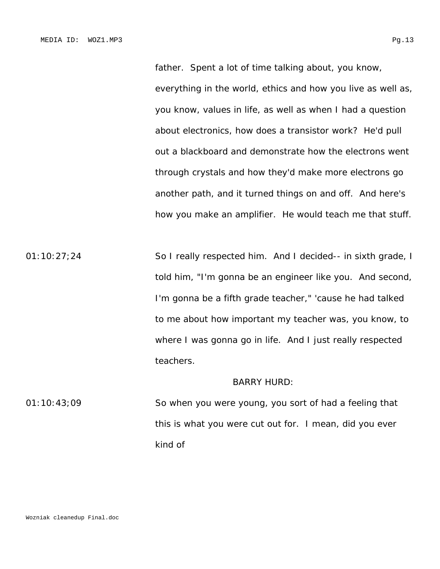father. Spent a lot of time talking about, you know, everything in the world, ethics and how you live as well as, you know, values in life, as well as when I had a question about electronics, how does a transistor work? He'd pull out a blackboard and demonstrate how the electrons went through crystals and how they'd make more electrons go another path, and it turned things on and off. And here's how you make an amplifier. He would teach me that stuff.

01:10:27;24 So I really respected him. And I decided-- in sixth grade, I told him, "I'm gonna be an engineer like you. And second, I'm gonna be a fifth grade teacher," 'cause he had talked to me about how important my teacher was, you know, to where I was gonna go in life. And I just really respected teachers.

#### BARRY HURD:

01:10:43;09 So when you were young, you sort of had a feeling that this is what you were cut out for. I mean, did you ever kind of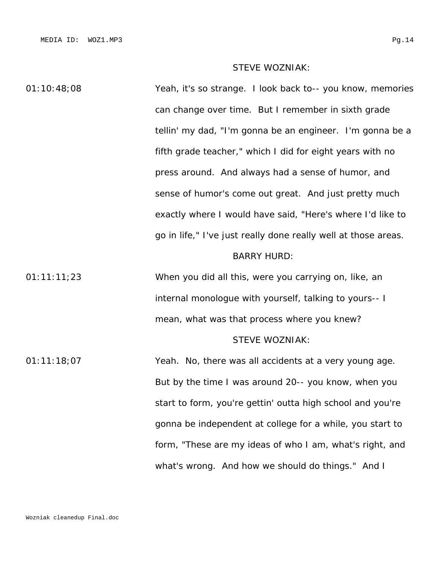### STEVE WOZNIAK:

01:10:48;08 Yeah, it's so strange. I look back to-- you know, memories can change over time. But I remember in sixth grade tellin' my dad, "I'm gonna be an engineer. I'm gonna be a fifth grade teacher," which I did for eight years with no press around. And always had a sense of humor, and sense of humor's come out great. And just pretty much exactly where I would have said, "Here's where I'd like to go in life," I've just really done really well at those areas. BARRY HURD: 01:11:11;23 When you did all this, were you carrying on, like, an internal monologue with yourself, talking to yours-- I mean, what was that process where you knew? STEVE WOZNIAK: 01:11:18;07 Yeah. No, there was all accidents at a very young age. But by the time I was around 20-- you know, when you start to form, you're gettin' outta high school and you're

gonna be independent at college for a while, you start to form, "These are my ideas of who I am, what's right, and what's wrong. And how we should do things." And I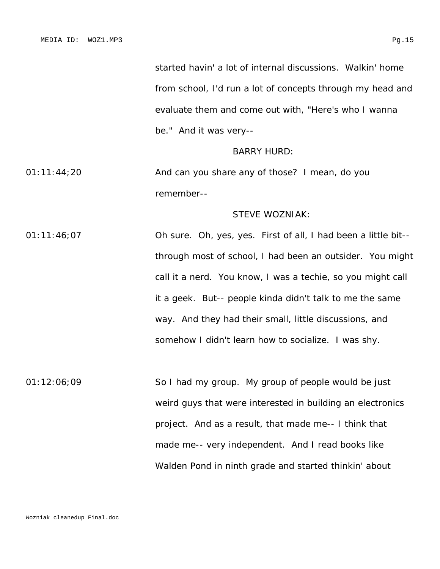started havin' a lot of internal discussions. Walkin' home from school, I'd run a lot of concepts through my head and evaluate them and come out with, "Here's who I wanna be." And it was very--

#### BARRY HURD:

01:11:44;20 And can you share any of those? I mean, do you remember--

# STEVE WOZNIAK:

01:11:46;07 Oh sure. Oh, yes, yes. First of all, I had been a little bit- through most of school, I had been an outsider. You might call it a nerd. You know, I was a techie, so you might call it a geek. But-- people kinda didn't talk to me the same way. And they had their small, little discussions, and somehow I didn't learn how to socialize. I was shy.

01:12:06;09 So I had my group. My group of people would be just weird guys that were interested in building an electronics project. And as a result, that made me-- I think that made me-- very independent. And I read books like *Walden Pond* in ninth grade and started thinkin' about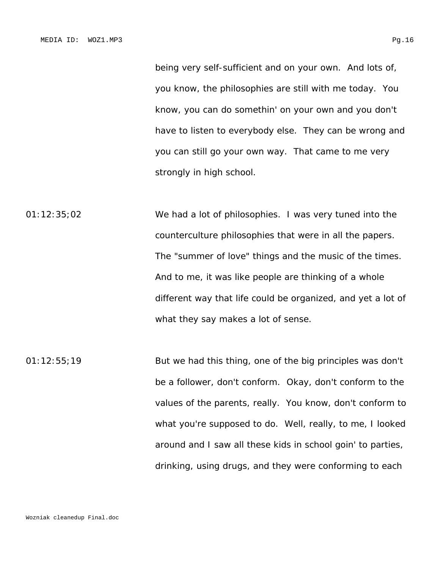being very self-sufficient and on your own. And lots of, you know, the philosophies are still with me today. You know, you can do somethin' on your own and you don't have to listen to everybody else. They can be wrong and you can still go your own way. That came to me very strongly in high school.

01:12:35;02 We had a lot of philosophies. I was very tuned into the counterculture philosophies that were in all the papers. The "summer of love" things and the music of the times. And to me, it was like people are thinking of a whole different way that life could be organized, and yet a lot of what they say makes a lot of sense.

01:12:55;19 But we had this thing, one of the big principles was don't be a follower, don't conform. Okay, don't conform to the values of the parents, really. You know, don't conform to what you're supposed to do. Well, really, to me, I looked around and I saw all these kids in school goin' to parties, drinking, using drugs, and they were conforming to each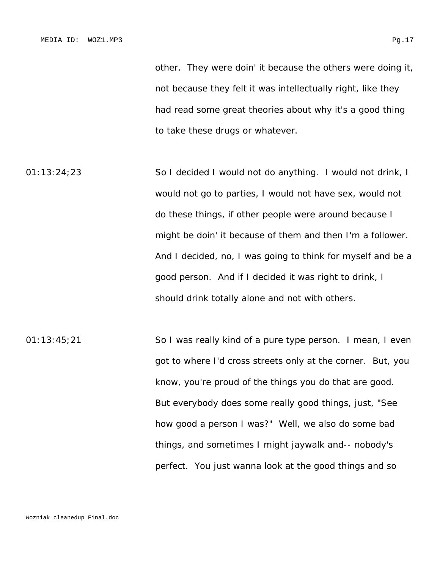other. They were doin' it because the others were doing it, not because they felt it was intellectually right, like they had read some great theories about why it's a good thing to take these drugs or whatever.

- 01:13:24;23 So I decided I would not do anything. I would not drink, I would not go to parties, I would not have sex, would not do these things, if other people were around because I might be doin' it because of them and then I'm a follower. And I decided, no, I was going to think for myself and be a good person. And if I decided it was right to drink, I should drink totally alone and not with others.
- 01:13:45;21 So I was really kind of a pure type person. I mean, I even got to where I'd cross streets only at the corner. But, you know, you're proud of the things you do that are good. But everybody does some really good things, just, "See how good a person I was?" Well, we also do some bad things, and sometimes I might jaywalk and-- nobody's perfect. You just wanna look at the good things and so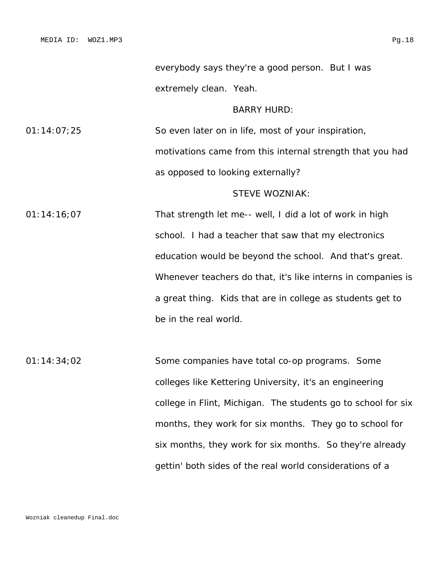everybody says they're a good person. But I was extremely clean. Yeah.

BARRY HURD:

01:14:07;25 So even later on in life, most of your inspiration, motivations came from this internal strength that you had as opposed to looking externally?

#### STEVE WOZNIAK:

01:14:16;07 That strength let me-- well, I did a lot of work in high school. I had a teacher that saw that my electronics education would be beyond the school. And that's great. Whenever teachers do that, it's like interns in companies is a great thing. Kids that are in college as students get to be in the real world.

01:14:34;02 Some companies have total co-op programs. Some colleges like Kettering University, it's an engineering college in Flint, Michigan. The students go to school for six months, they work for six months. They go to school for six months, they work for six months. So they're already gettin' both sides of the real world considerations of a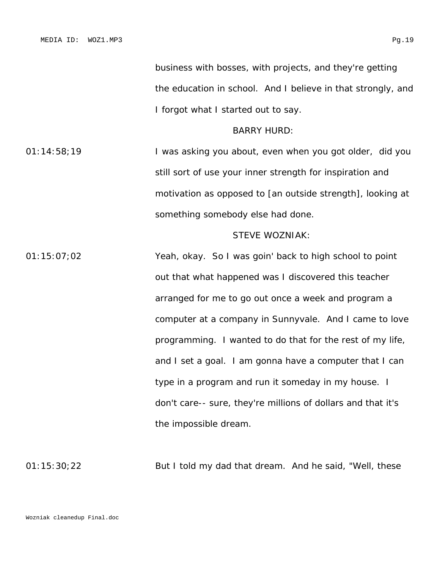business with bosses, with projects, and they're getting the education in school. And I believe in that strongly, and I forgot what I started out to say.

#### BARRY HURD:

01:14:58;19 I was asking you about, even when you got older, did you still sort of use your inner strength for inspiration and motivation as opposed to [an outside strength], looking at something somebody else had done.

#### STEVE WOZNIAK:

01:15:07;02 Yeah, okay. So I was goin' back to high school to point out that what happened was I discovered this teacher arranged for me to go out once a week and program a computer at a company in Sunnyvale. And I came to love programming. I wanted to do that for the rest of my life, and I set a goal. I am gonna have a computer that I can type in a program and run it someday in my house. I don't care-- sure, they're millions of dollars and that it's the impossible dream.

01:15:30;22 But I told my dad that dream. And he said, "Well, these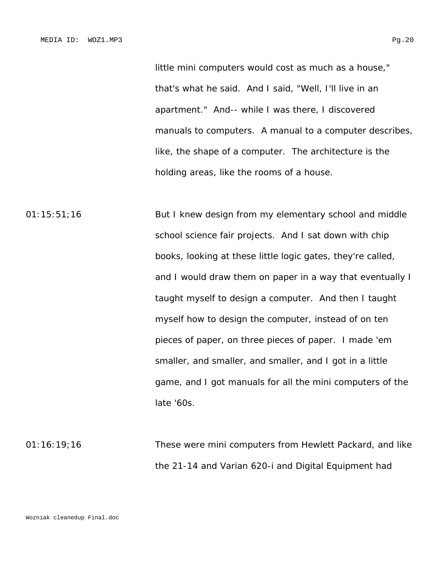little mini computers would cost as much as a house," that's what he said. And I said, "Well, I'll live in an apartment." And-- while I was there, I discovered manuals to computers. A manual to a computer describes, like, the shape of a computer. The architecture is the holding areas, like the rooms of a house.

01:15:51;16 But I knew design from my elementary school and middle school science fair projects. And I sat down with chip books, looking at these little logic gates, they're called, and I would draw them on paper in a way that eventually I taught myself to design a computer. And then I taught myself how to design the computer, instead of on ten pieces of paper, on three pieces of paper. I made 'em smaller, and smaller, and smaller, and I got in a little game, and I got manuals for all the mini computers of the late '60s.

01:16:19;16 These were mini computers from Hewlett Packard, and like the 21-14 and Varian 620-i and Digital Equipment had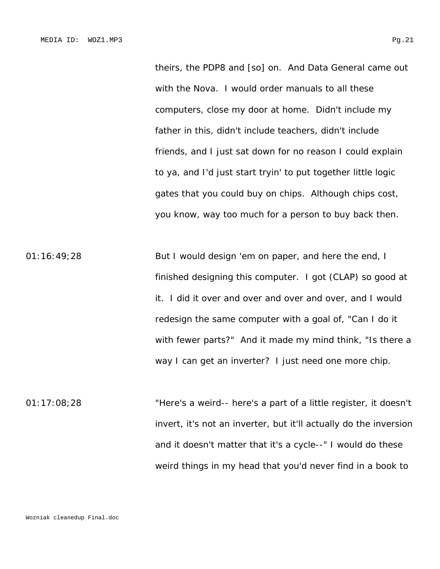theirs, the PDP8 and [so] on. And Data General came out with the Nova. I would order manuals to all these computers, close my door at home. Didn't include my father in this, didn't include teachers, didn't include friends, and I just sat down for no reason I could explain to ya, and I'd just start tryin' to put together little logic gates that you could buy on chips. Although chips cost, you know, way too much for a person to buy back then.

01:16:49;28 But I would design 'em on paper, and here the end, I finished designing this computer. I got (CLAP) so good at it. I did it over and over and over and over, and I would redesign the same computer with a goal of, "Can I do it with fewer parts?" And it made my mind think, "Is there a way I can get an inverter? I just need one more chip.

01:17:08;28 "Here's a weird-- here's a part of a little register, it doesn't invert, it's not an inverter, but it'll actually do the inversion and it doesn't matter that it's a cycle--" I would do these weird things in my head that you'd never find in a book to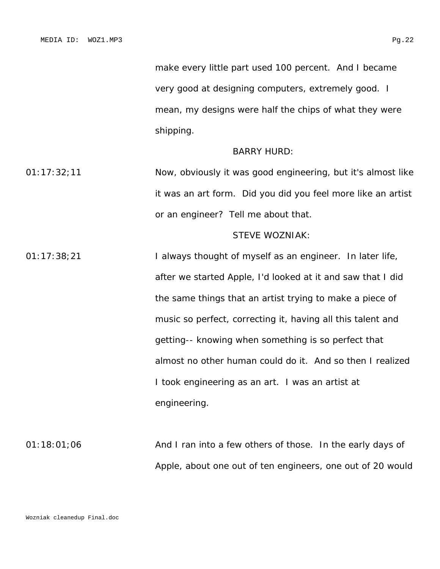make every little part used 100 percent. And I became very good at designing computers, extremely good. I mean, my designs were half the chips of what they were shipping.

#### BARRY HURD:

01:17:32;11 Now, obviously it was good engineering, but it's almost like it was an art form. Did you did you feel more like an artist or an engineer? Tell me about that.

#### STEVE WOZNIAK:

01:17:38;21 I always thought of myself as an engineer. In later life, after we started Apple, I'd looked at it and saw that I did the same things that an artist trying to make a piece of music so perfect, correcting it, having all this talent and getting-- knowing when something is so perfect that almost no other human could do it. And so then I realized I took engineering as an art. I was an artist at engineering.

01:18:01;06 And I ran into a few others of those. In the early days of Apple, about one out of ten engineers, one out of 20 would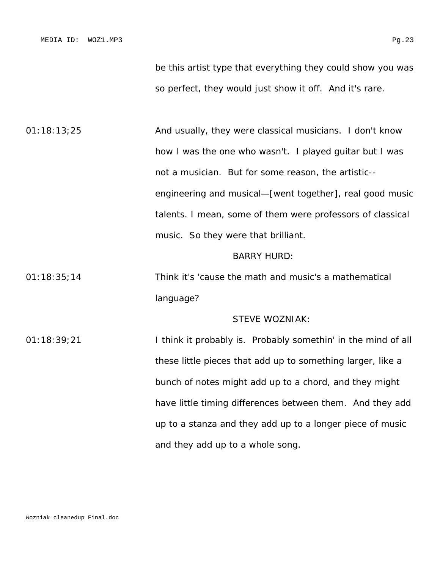be this artist type that everything they could show you was so perfect, they would just show it off. And it's rare.

01:18:13;25 And usually, they were classical musicians. I don't know how I was the one who wasn't. I played guitar but I was not a musician. But for some reason, the artistic- engineering and musical—[went together], real good music talents. I mean, some of them were professors of classical music. So they were that brilliant.

#### BARRY HURD:

01:18:35;14 Think it's 'cause the math and music's a mathematical language?

#### STEVE WOZNIAK:

01:18:39;21 I think it probably is. Probably somethin' in the mind of all these little pieces that add up to something larger, like a bunch of notes might add up to a chord, and they might have little timing differences between them. And they add up to a stanza and they add up to a longer piece of music and they add up to a whole song.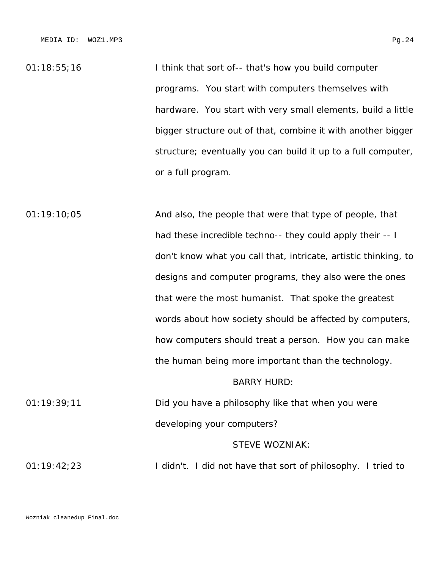01:18:55;16 I think that sort of-- that's how you build computer programs. You start with computers themselves with hardware. You start with very small elements, build a little bigger structure out of that, combine it with another bigger structure; eventually you can build it up to a full computer, or a full program.

01:19:10;05 And also, the people that were that type of people, that had these incredible techno-- they could apply their -- I don't know what you call that, intricate, artistic thinking, to designs and computer programs, they also were the ones that were the most humanist. That spoke the greatest words about how society should be affected by computers, how computers should treat a person. How you can make the human being more important than the technology.

# BARRY HURD:

01:19:39;11 Did you have a philosophy like that when you were developing your computers?

#### STEVE WOZNIAK:

01:19:42;23 I didn't. I did not have that sort of philosophy. I tried to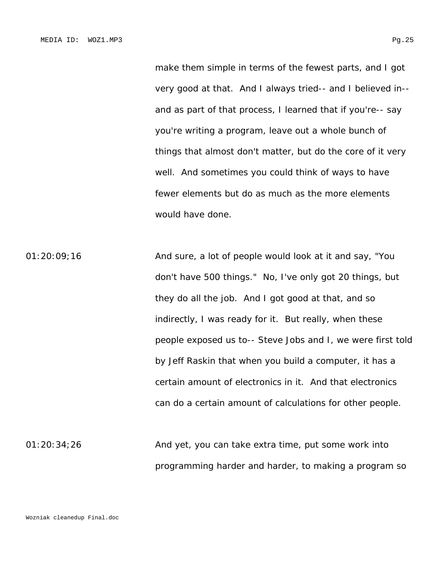make them simple in terms of the fewest parts, and I got very good at that. And I always tried-- and I believed in- and as part of that process, I learned that if you're-- say you're writing a program, leave out a whole bunch of things that almost don't matter, but do the core of it very well. And sometimes you could think of ways to have fewer elements but do as much as the more elements would have done.

01:20:09;16 And sure, a lot of people would look at it and say, "You don't have 500 things." No, I've only got 20 things, but they do all the job. And I got good at that, and so indirectly, I was ready for it. But really, when these people exposed us to-- Steve Jobs and I, we were first told by Jeff Raskin that when you build a computer, it has a certain amount of electronics in it. And that electronics can do a certain amount of calculations for other people.

01:20:34;26 And yet, you can take extra time, put some work into programming harder and harder, to making a program so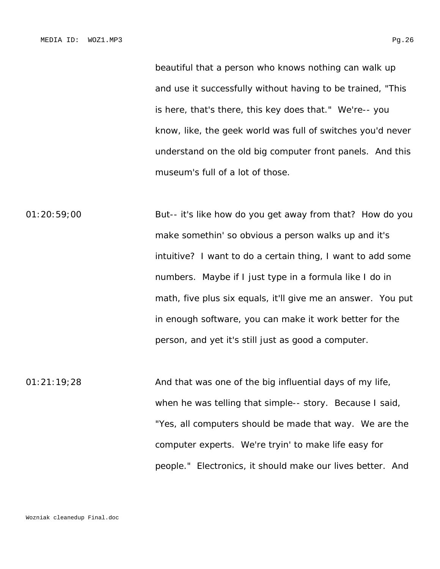beautiful that a person who knows nothing can walk up and use it successfully without having to be trained, "This is here, that's there, this key does that." We're-- you know, like, the geek world was full of switches you'd never understand on the old big computer front panels. And this museum's full of a lot of those.

01:20:59;00 But-- it's like how do you get away from that? How do you make somethin' so obvious a person walks up and it's intuitive? I want to do a certain thing, I want to add some numbers. Maybe if I just type in a formula like I do in math, five plus six equals, it'll give me an answer. You put in enough software, you can make it work better for the person, and yet it's still just as good a computer.

01:21:19;28 And that was one of the big influential days of my life, when he was telling that simple-- story. Because I said, "Yes, all computers should be made that way. We are the computer experts. We're tryin' to make life easy for people." Electronics, it should make our lives better. And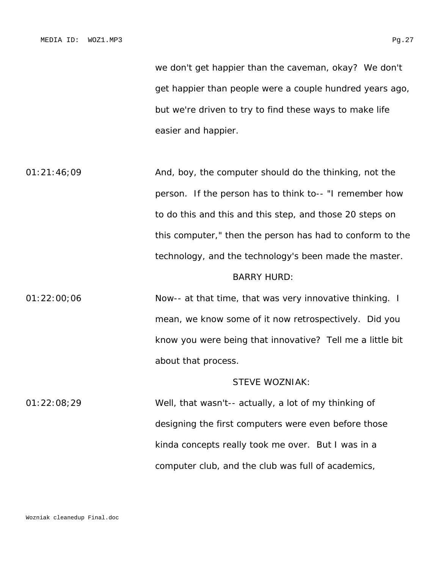we don't get happier than the caveman, okay? We don't get happier than people were a couple hundred years ago, but we're driven to try to find these ways to make life easier and happier.

01:21:46;09 And, boy, the computer should do the thinking, not the person. If the person has to think to-- "I remember how to do this and this and this step, and those 20 steps on this computer," then the person has had to conform to the technology, and the technology's been made the master. BARRY HURD:

# 01:22:00;06 Now-- at that time, that was very innovative thinking. I mean, we know some of it now retrospectively. Did you know you were being that innovative? Tell me a little bit about that process.

#### STEVE WOZNIAK:

01:22:08;29 Well, that wasn't-- actually, a lot of my thinking of designing the first computers were even before those kinda concepts really took me over. But I was in a computer club, and the club was full of academics,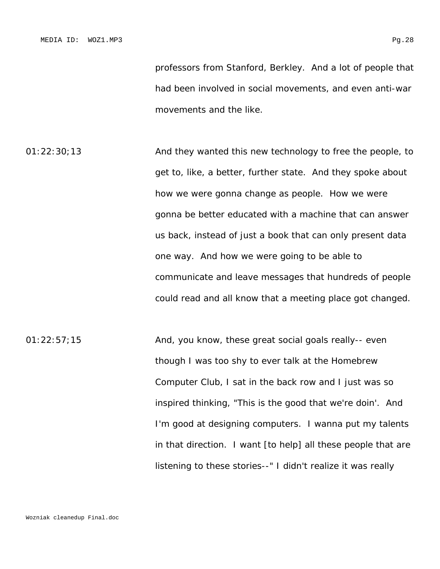professors from Stanford, Berkley. And a lot of people that had been involved in social movements, and even anti-war movements and the like.

01:22:30;13 And they wanted this new technology to free the people, to get to, like, a better, further state. And they spoke about how we were gonna change as people. How we were gonna be better educated with a machine that can answer us back, instead of just a book that can only present data one way. And how we were going to be able to communicate and leave messages that hundreds of people could read and all know that a meeting place got changed.

01:22:57;15 And, you know, these great social goals really-- even though I was too shy to ever talk at the Homebrew Computer Club, I sat in the back row and I just was so inspired thinking, "This is the good that we're doin'. And I'm good at designing computers. I wanna put my talents in that direction. I want [to help] all these people that are listening to these stories--" I didn't realize it was really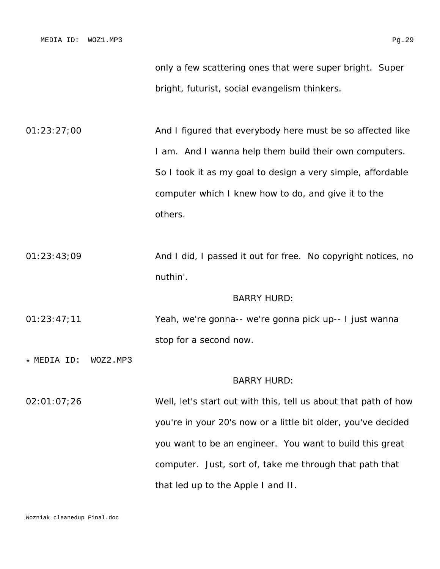only a few scattering ones that were super bright. Super bright, futurist, social evangelism thinkers.

01:23:27;00 And I figured that everybody here must be so affected like I am. And I wanna help them build their own computers. So I took it as my goal to design a very simple, affordable computer which I knew how to do, and give it to the others.

01:23:43;09 And I did, I passed it out for free. No copyright notices, no nuthin'.

BARRY HURD:

- 01:23:47;11 Yeah, we're gonna-- we're gonna pick up-- I just wanna stop for a second now.
- \* MEDIA ID: WOZ2.MP3

#### BARRY HURD:

02:01:07;26 Well, let's start out with this, tell us about that path of how you're in your 20's now or a little bit older, you've decided you want to be an engineer. You want to build this great computer. Just, sort of, take me through that path that that led up to the Apple I and II.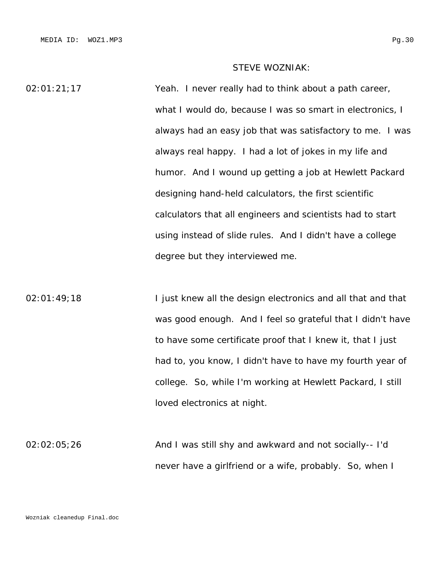## STEVE WOZNIAK:

02:01:21;17 Yeah. I never really had to think about a path career, what I would do, because I was so smart in electronics, I always had an easy job that was satisfactory to me. I was always real happy. I had a lot of jokes in my life and humor. And I wound up getting a job at Hewlett Packard designing hand-held calculators, the first scientific calculators that all engineers and scientists had to start using instead of slide rules. And I didn't have a college degree but they interviewed me.

02:01:49;18 I just knew all the design electronics and all that and that was good enough. And I feel so grateful that I didn't have to have some certificate proof that I knew it, that I just had to, you know, I didn't have to have my fourth year of college. So, while I'm working at Hewlett Packard, I still loved electronics at night.

02:02:05;26 And I was still shy and awkward and not socially-- I'd never have a girlfriend or a wife, probably. So, when I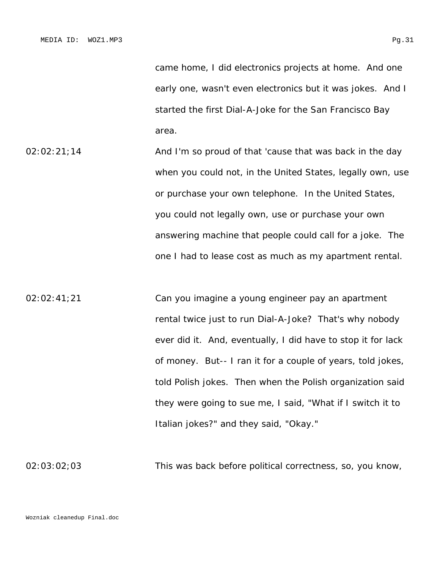came home, I did electronics projects at home. And one early one, wasn't even electronics but it was jokes. And I started the first Dial-A-Joke for the San Francisco Bay area.

- 02:02:21;14 **And I'm so proud of that 'cause that was back in the day** when you could not, in the United States, legally own, use or purchase your own telephone. In the United States, you could not legally own, use or purchase your own answering machine that people could call for a joke. The one I had to lease cost as much as my apartment rental.
- 02:02:41;21 Can you imagine a young engineer pay an apartment rental twice just to run Dial-A-Joke? That's why nobody ever did it. And, eventually, I did have to stop it for lack of money. But-- I ran it for a couple of years, told jokes, told Polish jokes. Then when the Polish organization said they were going to sue me, I said, "What if I switch it to Italian jokes?" and they said, "Okay."

02:03:02;03 This was back before political correctness, so, you know,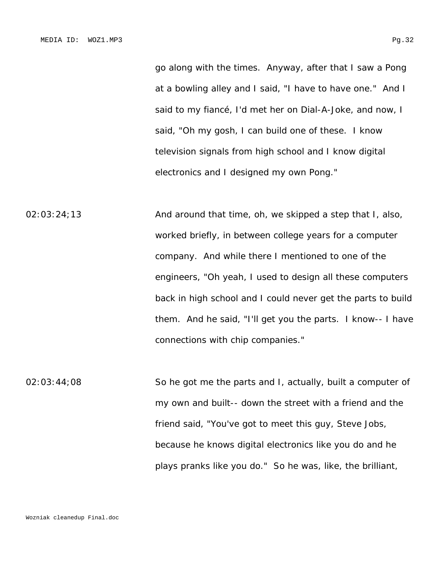go along with the times. Anyway, after that I saw a Pong at a bowling alley and I said, "I have to have one." And I said to my fiancé, I'd met her on Dial-A-Joke, and now, I said, "Oh my gosh, I can build one of these. I know television signals from high school and I know digital electronics and I designed my own Pong."

 $02:03:24:13$  And around that time, oh, we skipped a step that I, also, worked briefly, in between college years for a computer company. And while there I mentioned to one of the engineers, "Oh yeah, I used to design all these computers back in high school and I could never get the parts to build them. And he said, "I'll get you the parts. I know-- I have connections with chip companies."

02:03:44;08 So he got me the parts and I, actually, built a computer of my own and built-- down the street with a friend and the friend said, "You've got to meet this guy, Steve Jobs, because he knows digital electronics like you do and he plays pranks like you do." So he was, like, the brilliant,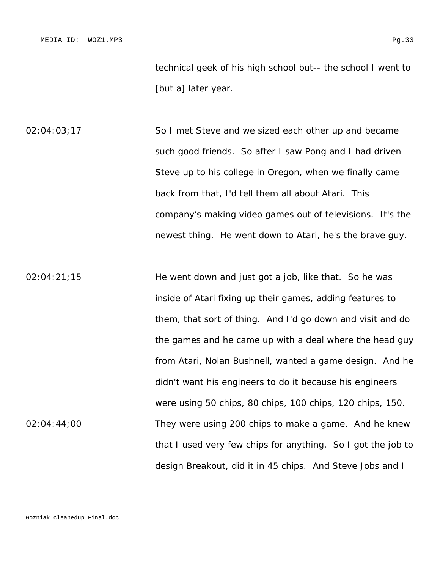technical geek of his high school but-- the school I went to [but a] later year.

02:04:03;17 So I met Steve and we sized each other up and became such good friends. So after I saw Pong and I had driven Steve up to his college in Oregon, when we finally came back from that, I'd tell them all about Atari. This company's making video games out of televisions. It's the newest thing. He went down to Atari, he's the brave guy.

02:04:21;15 He went down and just got a job, like that. So he was inside of Atari fixing up their games, adding features to them, that sort of thing. And I'd go down and visit and do the games and he came up with a deal where the head guy from Atari, Nolan Bushnell, wanted a game design. And he didn't want his engineers to do it because his engineers were using 50 chips, 80 chips, 100 chips, 120 chips, 150. 02:04:44;00 They were using 200 chips to make a game. And he knew that I used very few chips for anything. So I got the job to design Breakout, did it in 45 chips. And Steve Jobs and I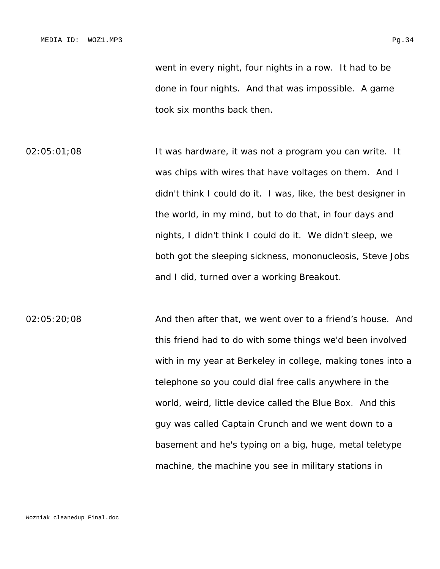went in every night, four nights in a row. It had to be done in four nights. And that was impossible. A game took six months back then.

02:05:01;08 It was hardware, it was not a program you can write. It was chips with wires that have voltages on them. And I didn't think I could do it. I was, like, the best designer in the world, in my mind, but to do that, in four days and nights, I didn't think I could do it. We didn't sleep, we both got the sleeping sickness, mononucleosis, Steve Jobs and I did, turned over a working Breakout.

02:05:20;08 And then after that, we went over to a friend's house. And this friend had to do with some things we'd been involved with in my year at Berkeley in college, making tones into a telephone so you could dial free calls anywhere in the world, weird, little device called the Blue Box. And this guy was called Captain Crunch and we went down to a basement and he's typing on a big, huge, metal teletype machine, the machine you see in military stations in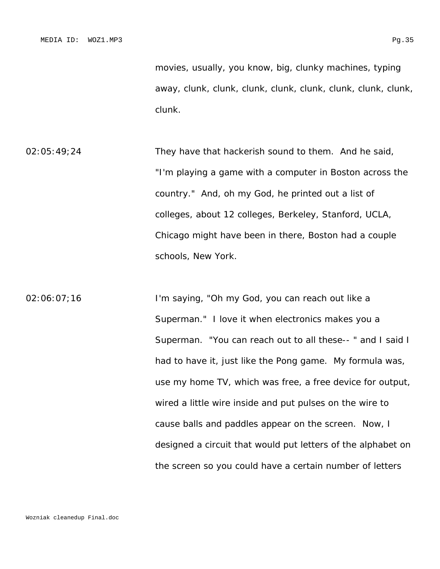clunk.

- 02:05:49;24 They have that hackerish sound to them. And he said, "I'm playing a game with a computer in Boston across the country." And, oh my God, he printed out a list of colleges, about 12 colleges, Berkeley, Stanford, UCLA, Chicago might have been in there, Boston had a couple schools, New York.
- 02:06:07;16 I'm saying, "Oh my God, you can reach out like a Superman." I love it when electronics makes you a Superman. "You can reach out to all these-- " and I said I had to have it, just like the Pong game. My formula was, use my home TV, which was free, a free device for output, wired a little wire inside and put pulses on the wire to cause balls and paddles appear on the screen. Now, I designed a circuit that would put letters of the alphabet on the screen so you could have a certain number of letters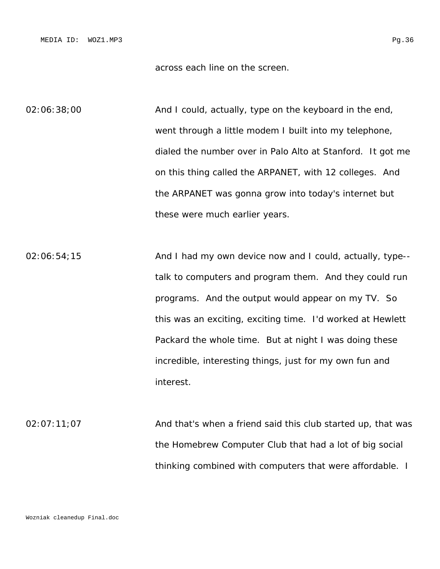across each line on the screen.

02:06:38;00 **And I could, actually, type on the keyboard in the end,** went through a little modem I built into my telephone, dialed the number over in Palo Alto at Stanford. It got me on this thing called the ARPANET, with 12 colleges. And the ARPANET was gonna grow into today's internet but these were much earlier years.

 $02:06:54;15$  And I had my own device now and I could, actually, type-talk to computers and program them. And they could run programs. And the output would appear on my TV. So this was an exciting, exciting time. I'd worked at Hewlett Packard the whole time. But at night I was doing these incredible, interesting things, just for my own fun and interest.

02:07:11;07 And that's when a friend said this club started up, that was the Homebrew Computer Club that had a lot of big social thinking combined with computers that were affordable. I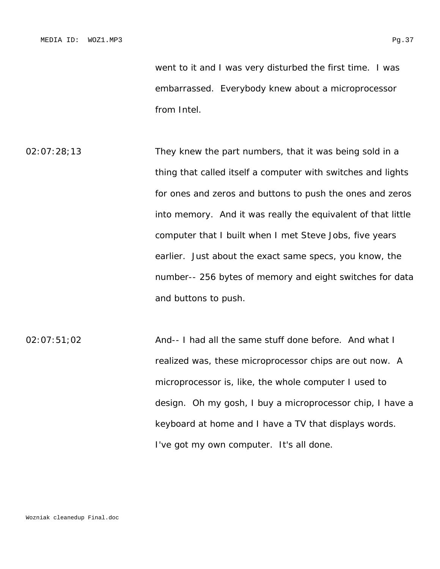went to it and I was very disturbed the first time. I was embarrassed. Everybody knew about a microprocessor from Intel.

- 02:07:28;13 They knew the part numbers, that it was being sold in a thing that called itself a computer with switches and lights for ones and zeros and buttons to push the ones and zeros into memory. And it was really the equivalent of that little computer that I built when I met Steve Jobs, five years earlier. Just about the exact same specs, you know, the number-- 256 bytes of memory and eight switches for data and buttons to push.
- 02:07:51;02 And-- I had all the same stuff done before. And what I realized was, these microprocessor chips are out now. A microprocessor is, like, the whole computer I used to design. Oh my gosh, I buy a microprocessor chip, I have a keyboard at home and I have a TV that displays words. I've got my own computer. It's all done.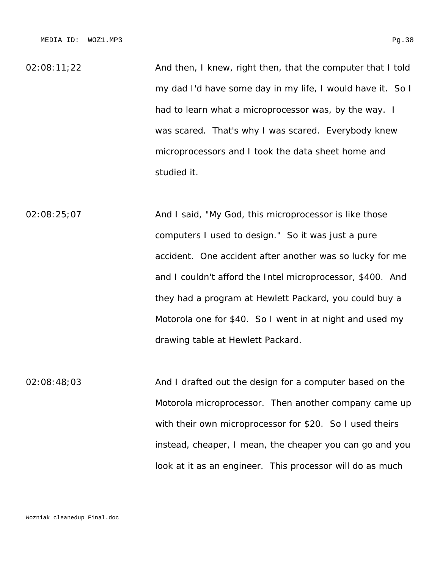02:08:11;22 **And then, I knew, right then, that the computer that I told** my dad I'd have some day in my life, I would have it. So I had to learn what a microprocessor was, by the way. I was scared. That's why I was scared. Everybody knew microprocessors and I took the data sheet home and studied it.

02:08:25;07 And I said, "My God, this microprocessor is like those computers I used to design." So it was just a pure accident. One accident after another was so lucky for me and I couldn't afford the Intel microprocessor, \$400. And they had a program at Hewlett Packard, you could buy a Motorola one for \$40. So I went in at night and used my drawing table at Hewlett Packard.

02:08:48;03 And I drafted out the design for a computer based on the Motorola microprocessor. Then another company came up with their own microprocessor for \$20. So I used theirs instead, cheaper, I mean, the cheaper you can go and you look at it as an engineer. This processor will do as much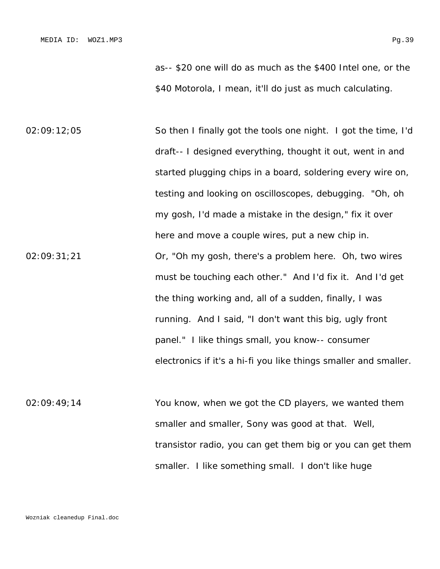as-- \$20 one will do as much as the \$400 Intel one, or the \$40 Motorola, I mean, it'll do just as much calculating.

02:09:12;05 So then I finally got the tools one night. I got the time, I'd draft-- I designed everything, thought it out, went in and started plugging chips in a board, soldering every wire on, testing and looking on oscilloscopes, debugging. "Oh, oh my gosh, I'd made a mistake in the design," fix it over here and move a couple wires, put a new chip in. 02:09:31;21 Or, "Oh my gosh, there's a problem here. Oh, two wires must be touching each other." And I'd fix it. And I'd get the thing working and, all of a sudden, finally, I was running. And I said, "I don't want this big, ugly front panel." I like things small, you know-- consumer electronics if it's a hi-fi you like things smaller and smaller.

02:09:49;14 You know, when we got the CD players, we wanted them smaller and smaller, Sony was good at that. Well, transistor radio, you can get them big or you can get them smaller. I like something small. I don't like huge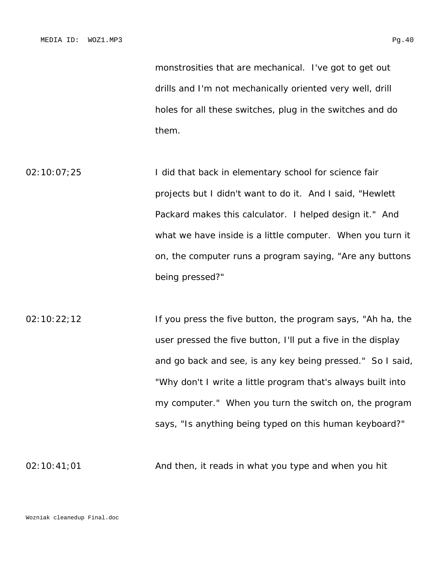monstrosities that are mechanical. I've got to get out drills and I'm not mechanically oriented very well, drill holes for all these switches, plug in the switches and do them.

02:10:07;25 I did that back in elementary school for science fair projects but I didn't want to do it. And I said, "Hewlett Packard makes this calculator. I helped design it." And what we have inside is a little computer. When you turn it on, the computer runs a program saying, "Are any buttons being pressed?"

02:10:22;12 **If you press the five button, the program says, "Ah ha, the** user pressed the five button, I'll put a five in the display and go back and see, is any key being pressed." So I said, "Why don't I write a little program that's always built into my computer." When you turn the switch on, the program says, "Is anything being typed on this human keyboard?"

 $02:10:41;01$  And then, it reads in what you type and when you hit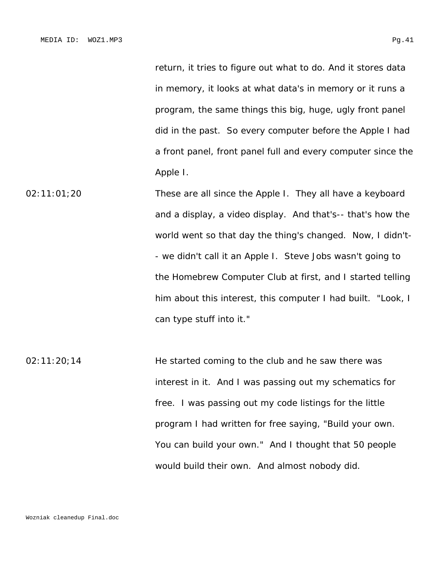return, it tries to figure out what to do. And it stores data in memory, it looks at what data's in memory or it runs a program, the same things this big, huge, ugly front panel did in the past. So every computer before the Apple I had a front panel, front panel full and every computer since the Apple I.

02:11:01;20 These are all since the Apple I. They all have a keyboard and a display, a video display. And that's-- that's how the world went so that day the thing's changed. Now, I didn't- - we didn't call it an Apple I. Steve Jobs wasn't going to the Homebrew Computer Club at first, and I started telling him about this interest, this computer I had built. "Look, I can type stuff into it."

02:11:20;14 He started coming to the club and he saw there was interest in it. And I was passing out my schematics for free. I was passing out my code listings for the little program I had written for free saying, "Build your own. You can build your own." And I thought that 50 people would build their own. And almost nobody did.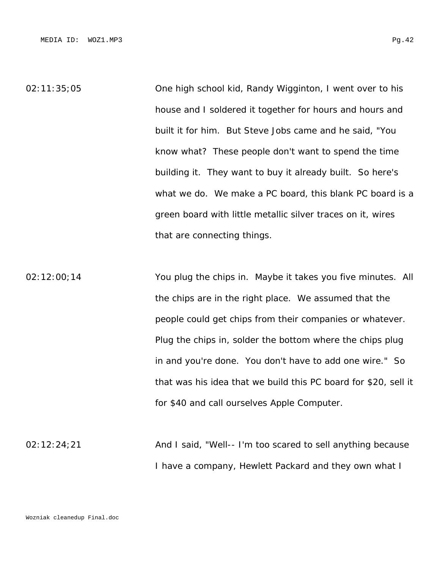02:11:35;05 One high school kid, Randy Wigginton, I went over to his house and I soldered it together for hours and hours and built it for him. But Steve Jobs came and he said, "You know what? These people don't want to spend the time building it. They want to buy it already built. So here's what we do. We make a PC board, this blank PC board is a green board with little metallic silver traces on it, wires that are connecting things.

02:12:00;14 You plug the chips in. Maybe it takes you five minutes. All the chips are in the right place. We assumed that the people could get chips from their companies or whatever. Plug the chips in, solder the bottom where the chips plug in and you're done. You don't have to add one wire." So that was his idea that we build this PC board for \$20, sell it for \$40 and call ourselves Apple Computer.

02:12:24;21 **And I said, "Well-- I'm too scared to sell anything because** I have a company, Hewlett Packard and they own what I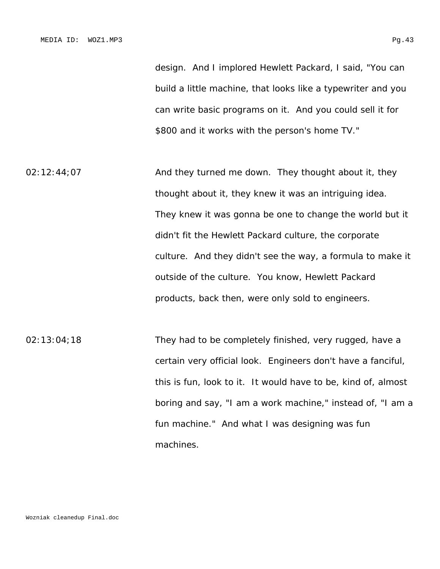design. And I implored Hewlett Packard, I said, "You can build a little machine, that looks like a typewriter and you can write basic programs on it. And you could sell it for \$800 and it works with the person's home TV."

02:12:44;07 And they turned me down. They thought about it, they thought about it, they knew it was an intriguing idea. They knew it was gonna be one to change the world but it didn't fit the Hewlett Packard culture, the corporate culture. And they didn't see the way, a formula to make it outside of the culture. You know, Hewlett Packard products, back then, were only sold to engineers.

02:13:04;18 They had to be completely finished, very rugged, have a certain very official look. Engineers don't have a fanciful, this is fun, look to it. It would have to be, kind of, almost boring and say, "I am a work machine," instead of, "I am a fun machine." And what I was designing was fun machines.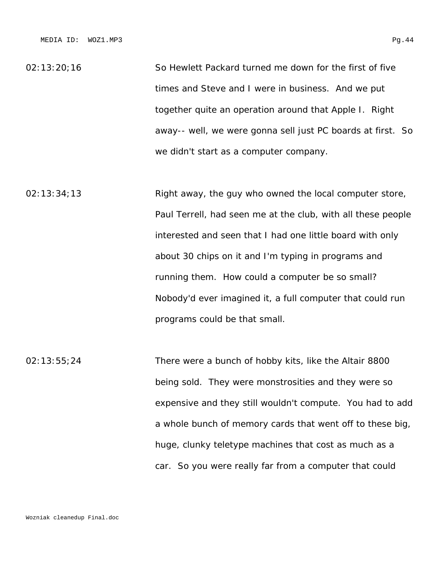02:13:20;16 So Hewlett Packard turned me down for the first of five times and Steve and I were in business. And we put together quite an operation around that Apple I. Right away-- well, we were gonna sell just PC boards at first. So we didn't start as a computer company.

02:13:34;13 Right away, the guy who owned the local computer store, Paul Terrell, had seen me at the club, with all these people interested and seen that I had one little board with only about 30 chips on it and I'm typing in programs and running them. How could a computer be so small? Nobody'd ever imagined it, a full computer that could run programs could be that small.

02:13:55;24 There were a bunch of hobby kits, like the Altair 8800 being sold. They were monstrosities and they were so expensive and they still wouldn't compute. You had to add a whole bunch of memory cards that went off to these big, huge, clunky teletype machines that cost as much as a car. So you were really far from a computer that could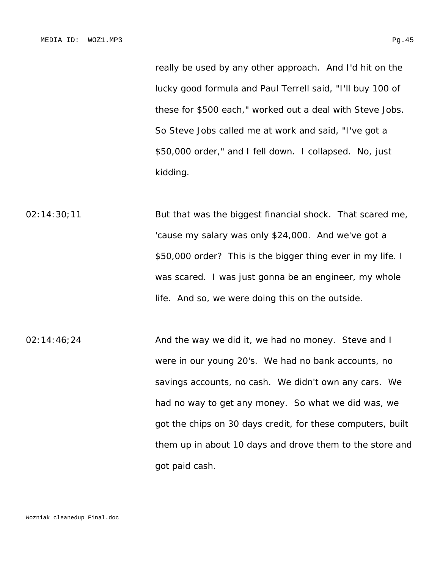really be used by any other approach. And I'd hit on the lucky good formula and Paul Terrell said, "I'll buy 100 of these for \$500 each," worked out a deal with Steve Jobs. So Steve Jobs called me at work and said, "I've got a \$50,000 order," and I fell down. I collapsed. No, just kidding.

02:14:30;11 But that was the biggest financial shock. That scared me, 'cause my salary was only \$24,000. And we've got a \$50,000 order? This is the bigger thing ever in my life. I was scared. I was just gonna be an engineer, my whole life. And so, we were doing this on the outside.

02:14:46;24 **And the way we did it, we had no money.** Steve and I were in our young 20's. We had no bank accounts, no savings accounts, no cash. We didn't own any cars. We had no way to get any money. So what we did was, we got the chips on 30 days credit, for these computers, built them up in about 10 days and drove them to the store and got paid cash.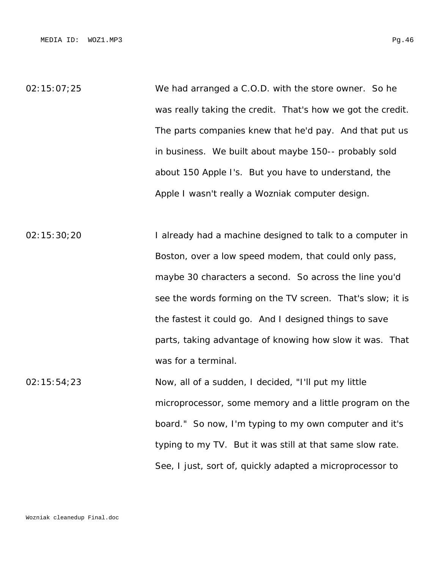02:15:07;25 We had arranged a C.O.D. with the store owner. So he was really taking the credit. That's how we got the credit. The parts companies knew that he'd pay. And that put us in business. We built about maybe 150-- probably sold about 150 Apple I's. But you have to understand, the Apple I wasn't really a Wozniak computer design.

02:15:30;20 I already had a machine designed to talk to a computer in Boston, over a low speed modem, that could only pass, maybe 30 characters a second. So across the line you'd see the words forming on the TV screen. That's slow; it is the fastest it could go. And I designed things to save parts, taking advantage of knowing how slow it was. That was for a terminal.

02:15:54;23 Now, all of a sudden, I decided, "I'll put my little microprocessor, some memory and a little program on the board." So now, I'm typing to my own computer and it's typing to my TV. But it was still at that same slow rate. See, I just, sort of, quickly adapted a microprocessor to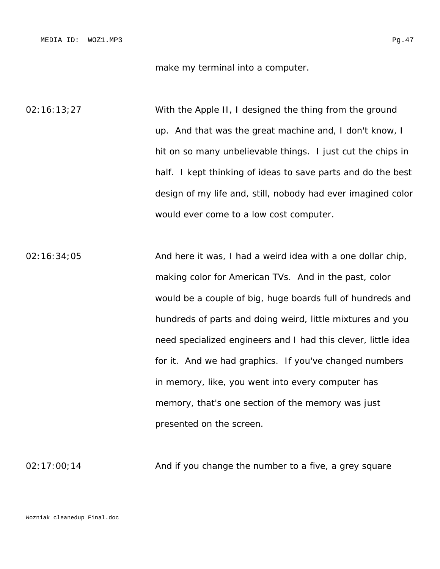make my terminal into a computer.

02:16:13;27 With the Apple II, I designed the thing from the ground up. And that was the great machine and, I don't know, I hit on so many unbelievable things. I just cut the chips in half. I kept thinking of ideas to save parts and do the best design of my life and, still, nobody had ever imagined color would ever come to a low cost computer.

 $02:16:34;05$  And here it was, I had a weird idea with a one dollar chip, making color for American TVs. And in the past, color would be a couple of big, huge boards full of hundreds and hundreds of parts and doing weird, little mixtures and you need specialized engineers and I had this clever, little idea for it. And we had graphics. If you've changed numbers in memory, like, you went into every computer has memory, that's one section of the memory was just presented on the screen.

 $02:17:00;14$  And if you change the number to a five, a grey square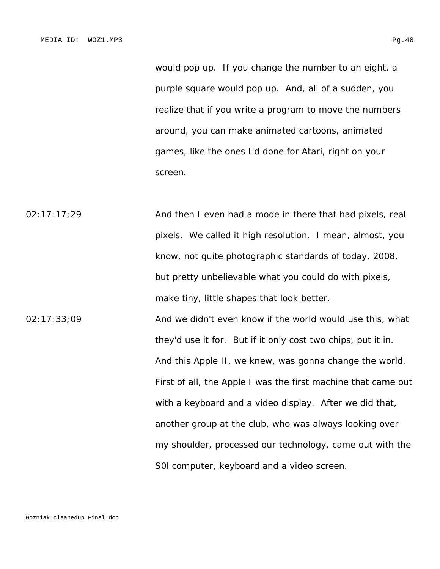would pop up. If you change the number to an eight, a purple square would pop up. And, all of a sudden, you realize that if you write a program to move the numbers around, you can make animated cartoons, animated games, like the ones I'd done for Atari, right on your screen.

02:17:17;29 And then I even had a mode in there that had pixels, real pixels. We called it high resolution. I mean, almost, you know, not quite photographic standards of today, 2008, but pretty unbelievable what you could do with pixels, make tiny, little shapes that look better.

02:17:33;09 And we didn't even know if the world would use this, what they'd use it for. But if it only cost two chips, put it in. And this Apple II, we knew, was gonna change the world. First of all, the Apple I was the first machine that came out with a keyboard and a video display. After we did that, another group at the club, who was always looking over my shoulder, processed our technology, came out with the S0l computer, keyboard and a video screen.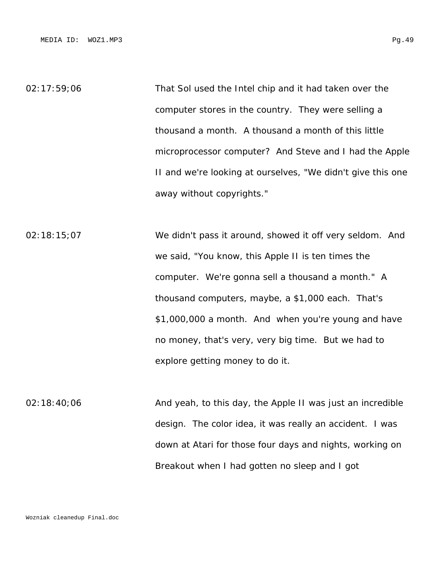02:17:59;06 That Sol used the Intel chip and it had taken over the computer stores in the country. They were selling a thousand a month. A thousand a month of this little microprocessor computer? And Steve and I had the Apple II and we're looking at ourselves, "We didn't give this one away without copyrights."

02:18:15;07 We didn't pass it around, showed it off very seldom. And we said, "You know, this Apple II is ten times the computer. We're gonna sell a thousand a month." A thousand computers, maybe, a \$1,000 each. That's \$1,000,000 a month. And when you're young and have no money, that's very, very big time. But we had to explore getting money to do it.

02:18:40;06 And yeah, to this day, the Apple II was just an incredible design. The color idea, it was really an accident. I was down at Atari for those four days and nights, working on Breakout when I had gotten no sleep and I got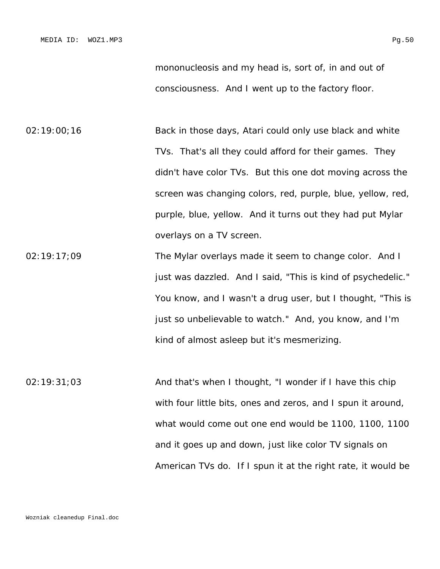mononucleosis and my head is, sort of, in and out of consciousness. And I went up to the factory floor.

02:19:00;16 Back in those days, Atari could only use black and white TVs. That's all they could afford for their games. They didn't have color TVs. But this one dot moving across the screen was changing colors, red, purple, blue, yellow, red, purple, blue, yellow. And it turns out they had put Mylar overlays on a TV screen.

02:19:17;09 The Mylar overlays made it seem to change color. And I just was dazzled. And I said, "This is kind of psychedelic." You know, and I wasn't a drug user, but I thought, "This is just so unbelievable to watch." And, you know, and I'm kind of almost asleep but it's mesmerizing.

02:19:31;03 And that's when I thought, "I wonder if I have this chip with four little bits, ones and zeros, and I spun it around, what would come out one end would be 1100, 1100, 1100 and it goes up and down, just like color TV signals on American TVs do. If I spun it at the right rate, it would be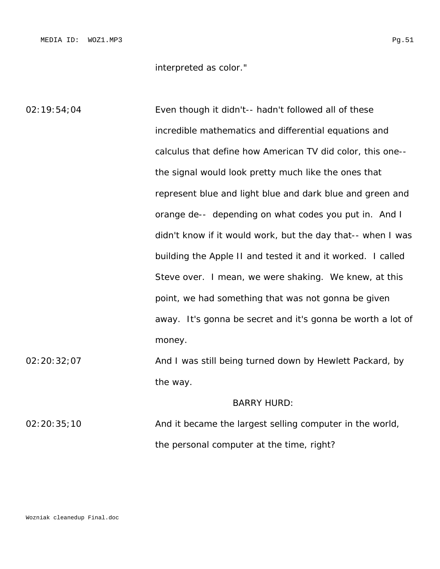interpreted as color."

02:19:54;04 Even though it didn't-- hadn't followed all of these incredible mathematics and differential equations and calculus that define how American TV did color, this one- the signal would look pretty much like the ones that represent blue and light blue and dark blue and green and orange de-- depending on what codes you put in. And I didn't know if it would work, but the day that-- when I was building the Apple II and tested it and it worked. I called Steve over. I mean, we were shaking. We knew, at this point, we had something that was not gonna be given away. It's gonna be secret and it's gonna be worth a lot of money. 02:20:32;07 And I was still being turned down by Hewlett Packard, by the way. BARRY HURD:

02:20:35;10 And it became the largest selling computer in the world, the personal computer at the time, right?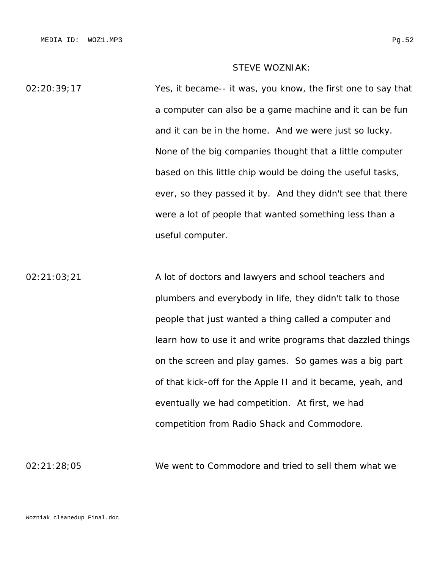# STEVE WOZNIAK:

02:20:39;17 Yes, it became-- it was, you know, the first one to say that a computer can also be a game machine and it can be fun and it can be in the home. And we were just so lucky. None of the big companies thought that a little computer based on this little chip would be doing the useful tasks, ever, so they passed it by. And they didn't see that there were a lot of people that wanted something less than a useful computer.

02:21:03;21 A lot of doctors and lawyers and school teachers and plumbers and everybody in life, they didn't talk to those people that just wanted a thing called a computer and learn how to use it and write programs that dazzled things on the screen and play games. So games was a big part of that kick-off for the Apple II and it became, yeah, and eventually we had competition. At first, we had competition from Radio Shack and Commodore.

02:21:28;05 We went to Commodore and tried to sell them what we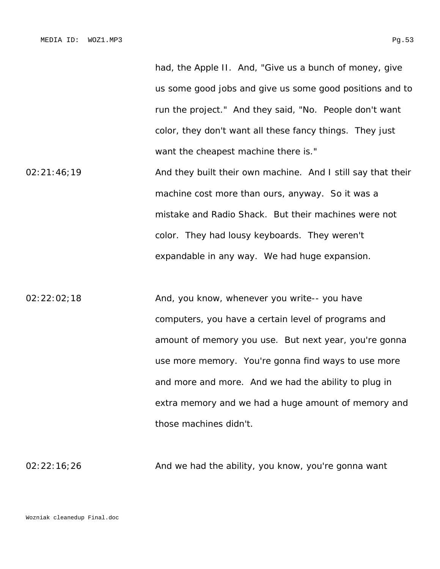had, the Apple II. And, "Give us a bunch of money, give us some good jobs and give us some good positions and to run the project." And they said, "No. People don't want color, they don't want all these fancy things. They just want the cheapest machine there is."

02:21:46;19 **And they built their own machine.** And I still say that their machine cost more than ours, anyway. So it was a mistake and Radio Shack. But their machines were not color. They had lousy keyboards. They weren't expandable in any way. We had huge expansion.

02:22:02;18 And, you know, whenever you write-- you have computers, you have a certain level of programs and amount of memory you use. But next year, you're gonna use more memory. You're gonna find ways to use more and more and more. And we had the ability to plug in extra memory and we had a huge amount of memory and those machines didn't.

02:22:16;26 And we had the ability, you know, you're gonna want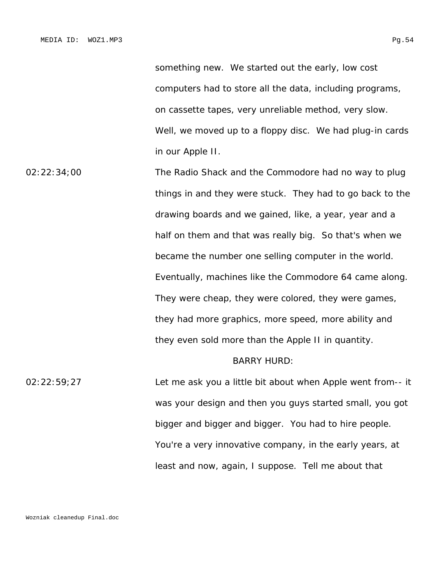something new. We started out the early, low cost computers had to store all the data, including programs, on cassette tapes, very unreliable method, very slow. Well, we moved up to a floppy disc. We had plug-in cards in our Apple II.

02:22:34;00 The Radio Shack and the Commodore had no way to plug things in and they were stuck. They had to go back to the drawing boards and we gained, like, a year, year and a half on them and that was really big. So that's when we became the number one selling computer in the world. Eventually, machines like the Commodore 64 came along. They were cheap, they were colored, they were games, they had more graphics, more speed, more ability and they even sold more than the Apple II in quantity.

# BARRY HURD:

02:22:59;27 Let me ask you a little bit about when Apple went from-- it was your design and then you guys started small, you got bigger and bigger and bigger. You had to hire people. You're a very innovative company, in the early years, at least and now, again, I suppose. Tell me about that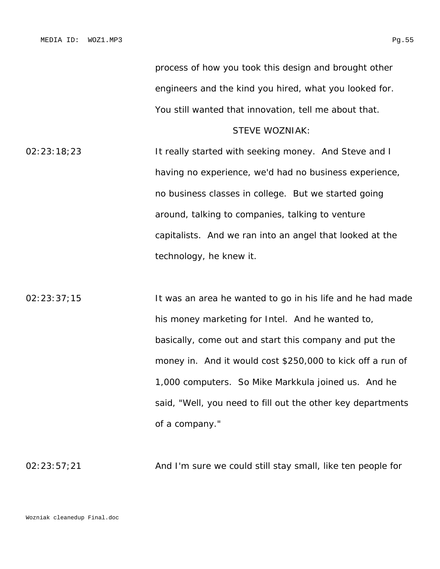```
process of how you took this design and brought other 
engineers and the kind you hired, what you looked for. 
You still wanted that innovation, tell me about that.
```
STEVE WOZNIAK:

02:23:18;23 It really started with seeking money. And Steve and I having no experience, we'd had no business experience, no business classes in college. But we started going around, talking to companies, talking to venture capitalists. And we ran into an angel that looked at the technology, he knew it.

02:23:37;15 It was an area he wanted to go in his life and he had made his money marketing for Intel. And he wanted to, basically, come out and start this company and put the money in. And it would cost \$250,000 to kick off a run of 1,000 computers. So Mike Markkula joined us. And he said, "Well, you need to fill out the other key departments of a company."

02:23:57;21 And I'm sure we could still stay small, like ten people for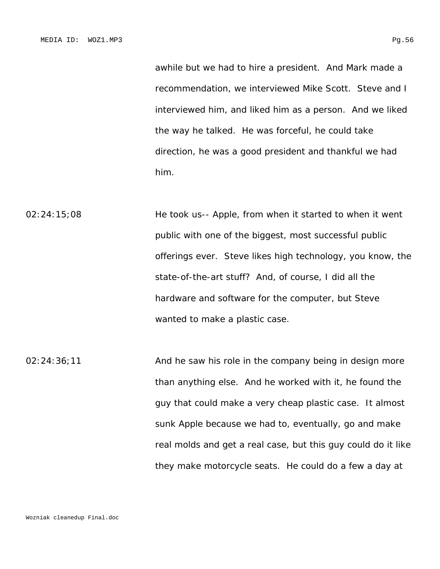awhile but we had to hire a president. And Mark made a recommendation, we interviewed Mike Scott. Steve and I interviewed him, and liked him as a person. And we liked the way he talked. He was forceful, he could take direction, he was a good president and thankful we had

02:24:15;08 He took us-- Apple, from when it started to when it went public with one of the biggest, most successful public offerings ever. Steve likes high technology, you know, the state-of-the-art stuff? And, of course, I did all the hardware and software for the computer, but Steve wanted to make a plastic case.

him.

02:24:36;11 And he saw his role in the company being in design more than anything else. And he worked with it, he found the guy that could make a very cheap plastic case. It almost sunk Apple because we had to, eventually, go and make real molds and get a real case, but this guy could do it like they make motorcycle seats. He could do a few a day at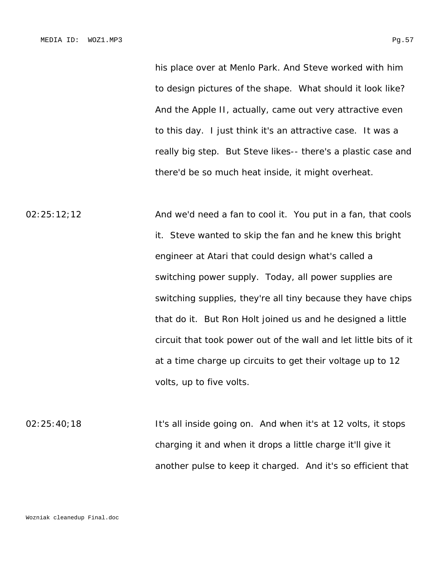his place over at Menlo Park. And Steve worked with him to design pictures of the shape. What should it look like? And the Apple II, actually, came out very attractive even to this day. I just think it's an attractive case. It was a really big step. But Steve likes-- there's a plastic case and there'd be so much heat inside, it might overheat.

02:25:12;12 And we'd need a fan to cool it. You put in a fan, that cools it. Steve wanted to skip the fan and he knew this bright engineer at Atari that could design what's called a switching power supply. Today, all power supplies are switching supplies, they're all tiny because they have chips that do it. But Ron Holt joined us and he designed a little circuit that took power out of the wall and let little bits of it at a time charge up circuits to get their voltage up to 12 volts, up to five volts.

02:25:40;18 It's all inside going on. And when it's at 12 volts, it stops charging it and when it drops a little charge it'll give it another pulse to keep it charged. And it's so efficient that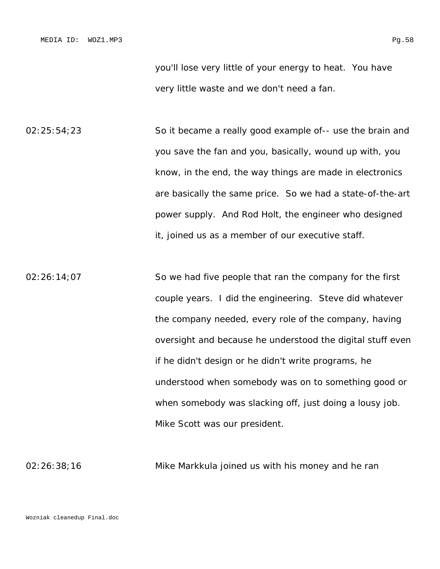you'll lose very little of your energy to heat. You have very little waste and we don't need a fan.

02:25:54;23 So it became a really good example of-- use the brain and you save the fan and you, basically, wound up with, you know, in the end, the way things are made in electronics are basically the same price. So we had a state-of-the-art power supply. And Rod Holt, the engineer who designed it, joined us as a member of our executive staff.

02:26:14;07 So we had five people that ran the company for the first couple years. I did the engineering. Steve did whatever the company needed, every role of the company, having oversight and because he understood the digital stuff even if he didn't design or he didn't write programs, he understood when somebody was on to something good or when somebody was slacking off, just doing a lousy job. Mike Scott was our president.

02:26:38;16 Mike Markkula joined us with his money and he ran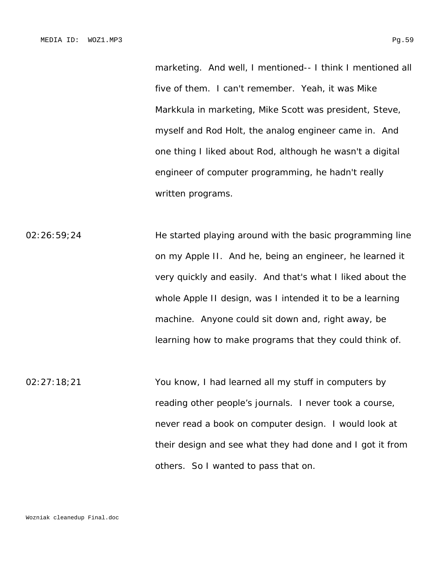marketing. And well, I mentioned-- I think I mentioned all five of them. I can't remember. Yeah, it was Mike Markkula in marketing, Mike Scott was president, Steve, myself and Rod Holt, the analog engineer came in. And one thing I liked about Rod, although he wasn't a digital engineer of computer programming, he hadn't really written programs.

02:26:59;24 He started playing around with the basic programming line on my Apple II. And he, being an engineer, he learned it very quickly and easily. And that's what I liked about the whole Apple II design, was I intended it to be a learning machine. Anyone could sit down and, right away, be learning how to make programs that they could think of.

02:27:18;21 You know, I had learned all my stuff in computers by reading other people's journals. I never took a course, never read a book on computer design. I would look at their design and see what they had done and I got it from others. So I wanted to pass that on.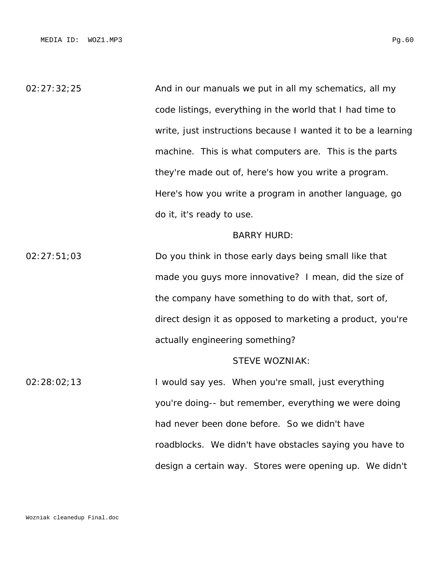02:27:32;25 And in our manuals we put in all my schematics, all my code listings, everything in the world that I had time to write, just instructions because I wanted it to be a learning machine. This is what computers are. This is the parts they're made out of, here's how you write a program. Here's how you write a program in another language, go do it, it's ready to use.

## BARRY HURD:

02:27:51;03 Do you think in those early days being small like that made you guys more innovative? I mean, did the size of the company have something to do with that, sort of, direct design it as opposed to marketing a product, you're actually engineering something?

# STEVE WOZNIAK:

02:28:02;13 I would say yes. When you're small, just everything you're doing-- but remember, everything we were doing had never been done before. So we didn't have roadblocks. We didn't have obstacles saying you have to design a certain way. Stores were opening up. We didn't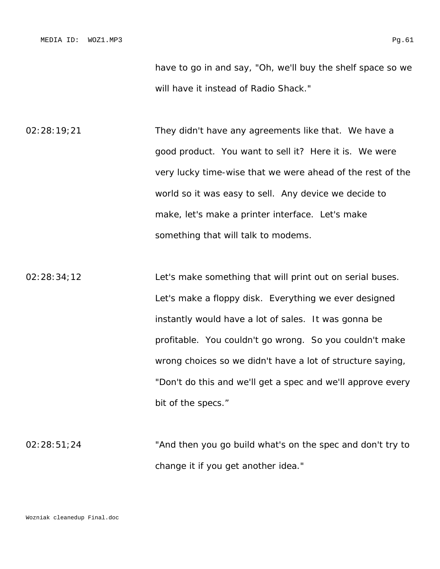02:28:19;21 They didn't have any agreements like that. We have a good product. You want to sell it? Here it is. We were very lucky time-wise that we were ahead of the rest of the world so it was easy to sell. Any device we decide to make, let's make a printer interface. Let's make something that will talk to modems.

02:28:34;12 Let's make something that will print out on serial buses. Let's make a floppy disk. Everything we ever designed instantly would have a lot of sales. It was gonna be profitable. You couldn't go wrong. So you couldn't make wrong choices so we didn't have a lot of structure saying, "Don't do this and we'll get a spec and we'll approve every bit of the specs."

02:28:51;24 "And then you go build what's on the spec and don't try to change it if you get another idea."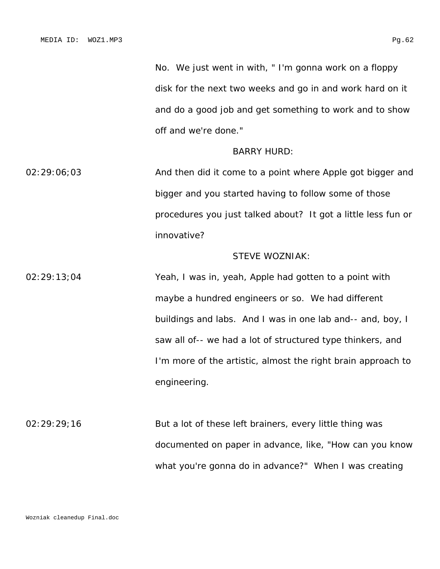No. We just went in with, " I'm gonna work on a floppy disk for the next two weeks and go in and work hard on it and do a good job and get something to work and to show off and we're done."

#### BARRY HURD:

02:29:06;03 And then did it come to a point where Apple got bigger and bigger and you started having to follow some of those procedures you just talked about? It got a little less fun or innovative?

# STEVE WOZNIAK:

02:29:13;04 Yeah, I was in, yeah, Apple had gotten to a point with maybe a hundred engineers or so. We had different buildings and labs. And I was in one lab and-- and, boy, I saw all of-- we had a lot of structured type thinkers, and I'm more of the artistic, almost the right brain approach to engineering.

02:29:29;16 But a lot of these left brainers, every little thing was documented on paper in advance, like, "How can you know what you're gonna do in advance?" When I was creating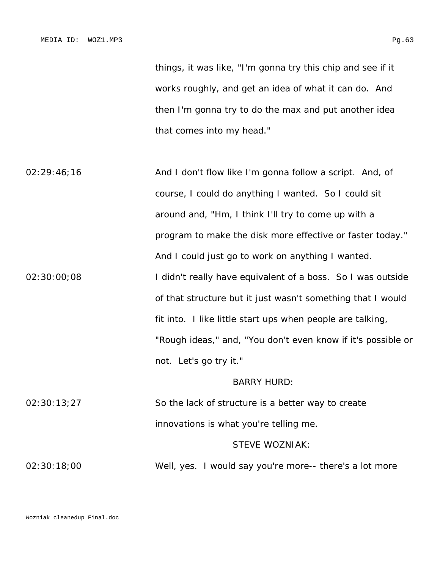things, it was like, "I'm gonna try this chip and see if it works roughly, and get an idea of what it can do. And then I'm gonna try to do the max and put another idea that comes into my head."

02:29:46;16 **And I don't flow like I'm gonna follow a script.** And, of course, I could do anything I wanted. So I could sit around and, "Hm, I think I'll try to come up with a program to make the disk more effective or faster today." And I could just go to work on anything I wanted. 02:30:00;08 I didn't really have equivalent of a boss. So I was outside of that structure but it just wasn't something that I would fit into. I like little start ups when people are talking, "Rough ideas," and, "You don't even know if it's possible or not. Let's go try it."

#### BARRY HURD:

02:30:13;27 So the lack of structure is a better way to create innovations is what you're telling me.

## STEVE WOZNIAK:

02:30:18;00 Well, yes. I would say you're more-- there's a lot more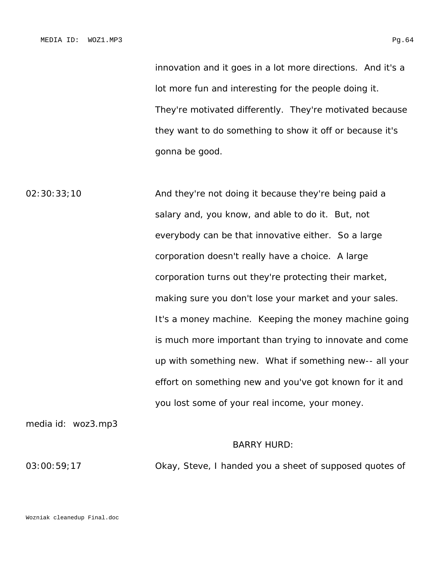innovation and it goes in a lot more directions. And it's a lot more fun and interesting for the people doing it. They're motivated differently. They're motivated because they want to do something to show it off or because it's gonna be good.

02:30:33;10 **And they're not doing it because they're being paid a** salary and, you know, and able to do it. But, not everybody can be that innovative either. So a large corporation doesn't really have a choice. A large corporation turns out they're protecting their market, making sure you don't lose your market and your sales. It's a money machine. Keeping the money machine going is much more important than trying to innovate and come up with something new. What if something new-- all your effort on something new and you've got known for it and you lost some of your real income, your money.

media id: woz3.mp3

## BARRY HURD:

03:00:59;17 Okay, Steve, I handed you a sheet of supposed quotes of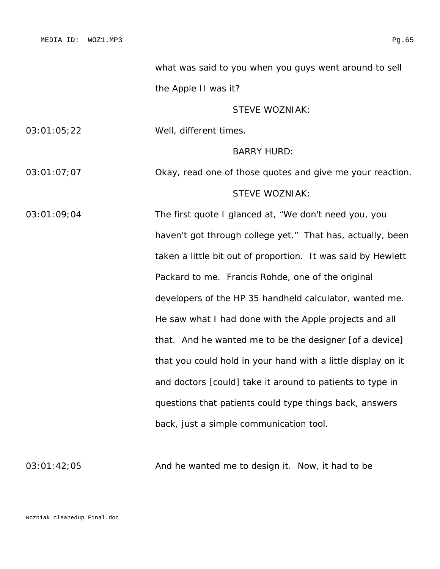what was said to you when you guys went around to sell the Apple II was it?

STEVE WOZNIAK:

03:01:05;22 Well, different times.

BARRY HURD:

03:01:07;07 Okay, read one of those quotes and give me your reaction. STEVE WOZNIAK:

03:01:09;04 The first quote I glanced at, "We don't need you, you haven't got through college yet." That has, actually, been taken a little bit out of proportion. It was said by Hewlett Packard to me. Francis Rohde, one of the original developers of the HP 35 handheld calculator, wanted me. He saw what I had done with the Apple projects and all that. And he wanted me to be the designer [of a device] that you could hold in your hand with a little display on it and doctors [could] take it around to patients to type in questions that patients could type things back, answers back, just a simple communication tool.

03:01:42;05 And he wanted me to design it. Now, it had to be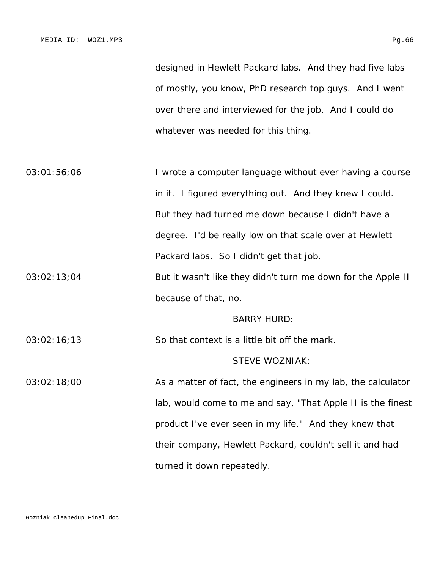designed in Hewlett Packard labs. And they had five labs of mostly, you know, PhD research top guys. And I went over there and interviewed for the job. And I could do whatever was needed for this thing.

03:01:56;06 I wrote a computer language without ever having a course in it. I figured everything out. And they knew I could. But they had turned me down because I didn't have a degree. I'd be really low on that scale over at Hewlett Packard labs. So I didn't get that job.

03:02:13;04 But it wasn't like they didn't turn me down for the Apple II because of that, no.

#### BARRY HURD:

03:02:16;13 So that context is a little bit off the mark.

# STEVE WOZNIAK:

03:02:18;00 As a matter of fact, the engineers in my lab, the calculator lab, would come to me and say, "That Apple II is the finest product I've ever seen in my life." And they knew that their company, Hewlett Packard, couldn't sell it and had turned it down repeatedly.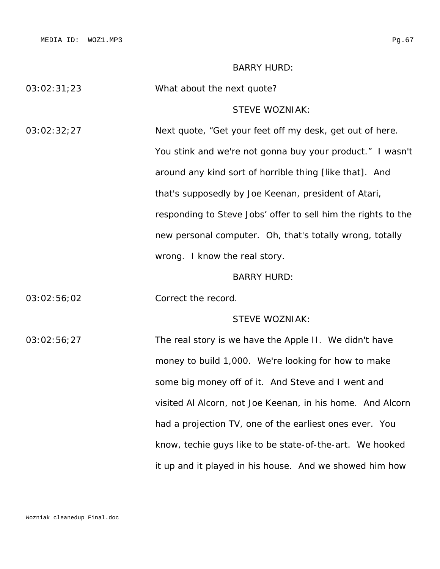MEDIA ID: WOZ1.MP3 Pg.67

it up and it played in his house. And we showed him how

|             | <b>BARRY HURD:</b>                                            |
|-------------|---------------------------------------------------------------|
| 03:02:31;23 | What about the next quote?                                    |
|             | <b>STEVE WOZNIAK:</b>                                         |
| 03:02:32;27 | Next quote, "Get your feet off my desk, get out of here.      |
|             | You stink and we're not gonna buy your product." I wasn't     |
|             | around any kind sort of horrible thing [like that]. And       |
|             | that's supposedly by Joe Keenan, president of Atari,          |
|             | responding to Steve Jobs' offer to sell him the rights to the |
|             | new personal computer. Oh, that's totally wrong, totally      |
|             | wrong. I know the real story.                                 |
|             | <b>BARRY HURD:</b>                                            |
| 03:02:56;02 | Correct the record.                                           |
|             | <b>STEVE WOZNIAK:</b>                                         |
| 03:02:56;27 | The real story is we have the Apple II. We didn't have        |
|             | money to build 1,000. We're looking for how to make           |
|             | some big money off of it. And Steve and I went and            |
|             | visited AI Alcorn, not Joe Keenan, in his home. And Alcorn    |
|             | had a projection TV, one of the earliest ones ever. You       |
|             | know, techie guys like to be state-of-the-art. We hooked      |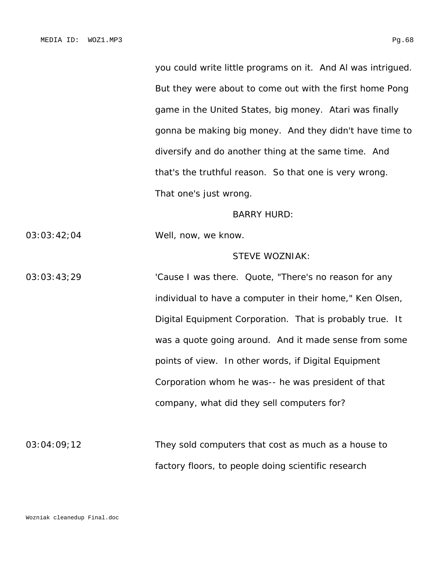But they were about to come out with the first home Pong game in the United States, big money. Atari was finally gonna be making big money. And they didn't have time to diversify and do another thing at the same time. And that's the truthful reason. So that one is very wrong. That one's just wrong.

#### BARRY HURD:

03:03:42;04 Well, now, we know.

# STEVE WOZNIAK:

03:03:43;29 'Cause I was there. Quote, "There's no reason for any individual to have a computer in their home," Ken Olsen, Digital Equipment Corporation. That is probably true. It was a quote going around. And it made sense from some points of view. In other words, if Digital Equipment Corporation whom he was-- he was president of that company, what did they sell computers for?

03:04:09;12 They sold computers that cost as much as a house to factory floors, to people doing scientific research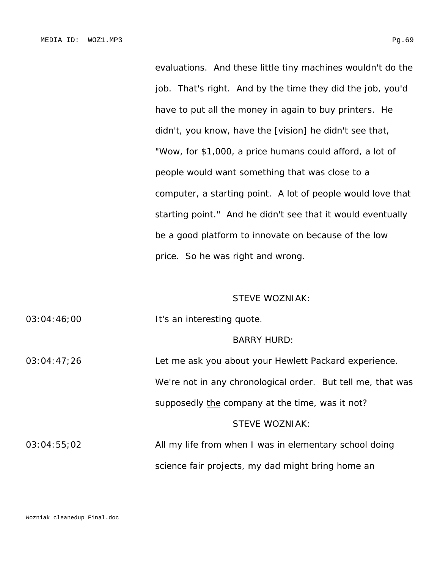evaluations. And these little tiny machines wouldn't do the job. That's right. And by the time they did the job, you'd have to put all the money in again to buy printers. He didn't, you know, have the [vision] he didn't see that, "Wow, for \$1,000, a price humans could afford, a lot of people would want something that was close to a computer, a starting point. A lot of people would love that starting point." And he didn't see that it would eventually be a good platform to innovate on because of the low price. So he was right and wrong.

# STEVE WOZNIAK:

03:04:46;00 It's an interesting quote.

#### BARRY HURD:

03:04:47;26 Let me ask you about your Hewlett Packard experience. We're not in any chronological order. But tell me, that was supposedly the company at the time, was it not? STEVE WOZNIAK: 03:04:55;02 All my life from when I was in elementary school doing science fair projects, my dad might bring home an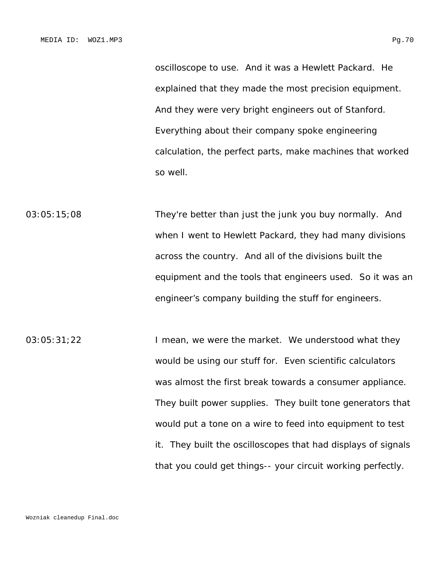oscilloscope to use. And it was a Hewlett Packard. He explained that they made the most precision equipment. And they were very bright engineers out of Stanford. Everything about their company spoke engineering calculation, the perfect parts, make machines that worked so well.

03:05:15;08 They're better than just the junk you buy normally. And when I went to Hewlett Packard, they had many divisions across the country. And all of the divisions built the equipment and the tools that engineers used. So it was an engineer's company building the stuff for engineers.

03:05:31;22 I mean, we were the market. We understood what they would be using our stuff for. Even scientific calculators was almost the first break towards a consumer appliance. They built power supplies. They built tone generators that would put a tone on a wire to feed into equipment to test it. They built the oscilloscopes that had displays of signals that you could get things-- your circuit working perfectly.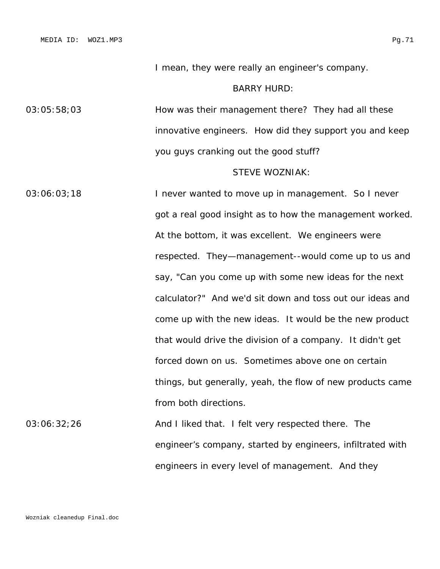I mean, they were really an engineer's company.

## BARRY HURD:

03:05:58;03 How was their management there? They had all these innovative engineers. How did they support you and keep you guys cranking out the good stuff?

# STEVE WOZNIAK:

engineers in every level of management. And they

03:06:03;18 I never wanted to move up in management. So I never got a real good insight as to how the management worked. At the bottom, it was excellent. We engineers were respected. They—management--would come up to us and say, "Can you come up with some new ideas for the next calculator?" And we'd sit down and toss out our ideas and come up with the new ideas. It would be the new product that would drive the division of a company. It didn't get forced down on us. Sometimes above one on certain things, but generally, yeah, the flow of new products came from both directions. 03:06:32;26 And I liked that. I felt very respected there. The engineer's company, started by engineers, infiltrated with

Wozniak cleanedup Final.doc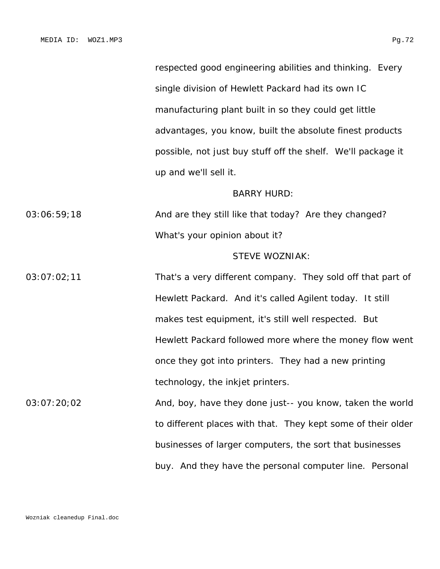respected good engineering abilities and thinking. Every single division of Hewlett Packard had its own IC manufacturing plant built in so they could get little advantages, you know, built the absolute finest products possible, not just buy stuff off the shelf. We'll package it up and we'll sell it.

#### BARRY HURD:

03:06:59;18 And are they still like that today? Are they changed? What's your opinion about it?

#### STEVE WOZNIAK:

03:07:02;11 That's a very different company. They sold off that part of Hewlett Packard. And it's called Agilent today. It still makes test equipment, it's still well respected. But Hewlett Packard followed more where the money flow went once they got into printers. They had a new printing technology, the inkjet printers.

03:07:20;02 **And, boy, have they done just-- you know, taken the world** to different places with that. They kept some of their older businesses of larger computers, the sort that businesses buy. And they have the personal computer line. Personal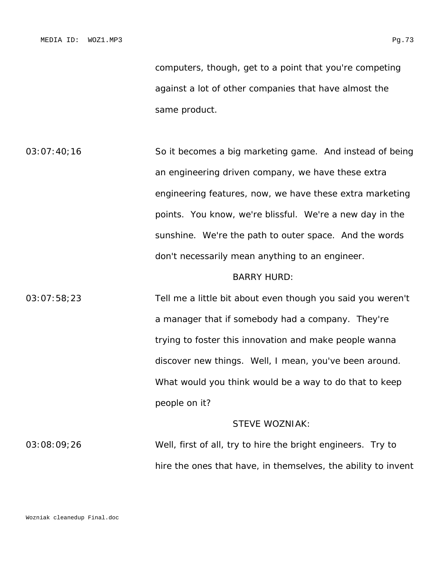computers, though, get to a point that you're competing against a lot of other companies that have almost the same product.

03:07:40;16 So it becomes a big marketing game. And instead of being an engineering driven company, we have these extra engineering features, now, we have these extra marketing points. You know, we're blissful. We're a new day in the sunshine. We're the path to outer space. And the words don't necessarily mean anything to an engineer.

#### BARRY HURD:

03:07:58;23 Tell me a little bit about even though you said you weren't a manager that if somebody had a company. They're trying to foster this innovation and make people wanna discover new things. Well, I mean, you've been around. What would you think would be a way to do that to keep people on it?

### STEVE WOZNIAK:

03:08:09;26 Well, first of all, try to hire the bright engineers. Try to hire the ones that have, in themselves, the ability to invent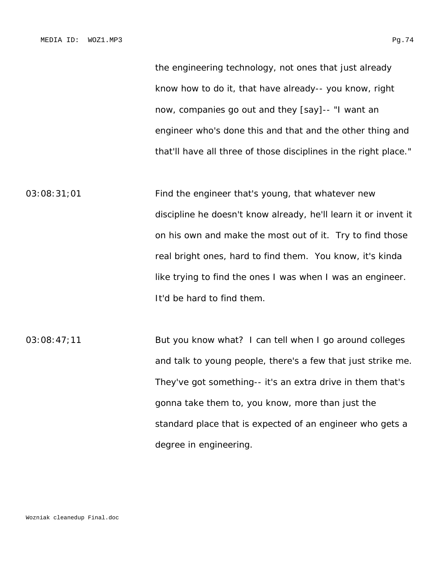the engineering technology, not ones that just already know how to do it, that have already-- you know, right now, companies go out and they [say]-- "I want an engineer who's done this and that and the other thing and that'll have all three of those disciplines in the right place."

03:08:31;01 Find the engineer that's young, that whatever new discipline he doesn't know already, he'll learn it or invent it on his own and make the most out of it. Try to find those real bright ones, hard to find them. You know, it's kinda like trying to find the ones I was when I was an engineer. It'd be hard to find them.

03:08:47;11 But you know what? I can tell when I go around colleges and talk to young people, there's a few that just strike me. They've got something-- it's an extra drive in them that's gonna take them to, you know, more than just the standard place that is expected of an engineer who gets a degree in engineering.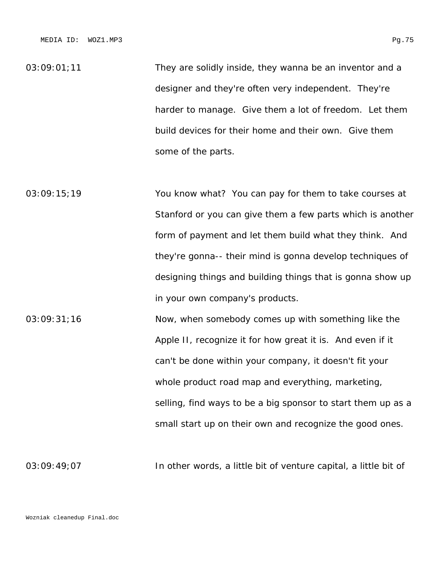$03:09:01;11$  They are solidly inside, they wanna be an inventor and a designer and they're often very independent. They're harder to manage. Give them a lot of freedom. Let them build devices for their home and their own. Give them some of the parts.

03:09:15;19 You know what? You can pay for them to take courses at Stanford or you can give them a few parts which is another form of payment and let them build what they think. And they're gonna-- their mind is gonna develop techniques of designing things and building things that is gonna show up in your own company's products.

03:09:31;16 Now, when somebody comes up with something like the Apple II, recognize it for how great it is. And even if it can't be done within your company, it doesn't fit your whole product road map and everything, marketing, selling, find ways to be a big sponsor to start them up as a small start up on their own and recognize the good ones.

03:09:49;07 In other words, a little bit of venture capital, a little bit of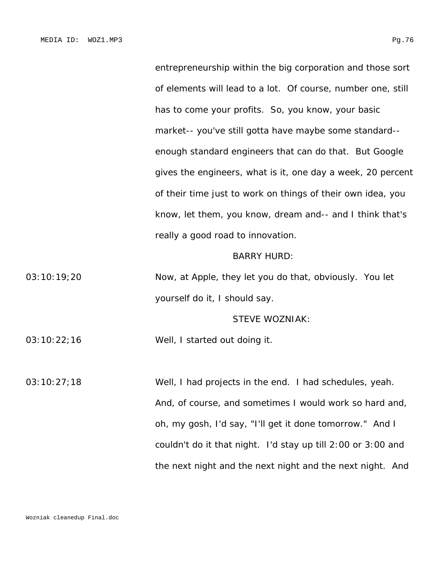entrepreneurship within the big corporation and those sort of elements will lead to a lot. Of course, number one, still has to come your profits. So, you know, your basic market-- you've still gotta have maybe some standard- enough standard engineers that can do that. But Google gives the engineers, what is it, one day a week, 20 percent of their time just to work on things of their own idea, you know, let them, you know, dream and-- and I think that's really a good road to innovation.

#### BARRY HURD:

03:10:19;20 Now, at Apple, they let you do that, obviously. You let yourself do it, I should say.

#### STEVE WOZNIAK:

03:10:22;16 Well, I started out doing it.

03:10:27;18 Well, I had projects in the end. I had schedules, yeah. And, of course, and sometimes I would work so hard and, oh, my gosh, I'd say, "I'll get it done tomorrow." And I couldn't do it that night. I'd stay up till 2:00 or 3:00 and the next night and the next night and the next night. And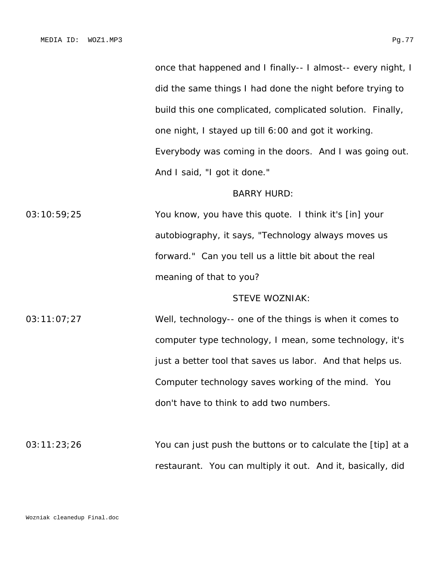once that happened and I finally-- I almost-- every night, I did the same things I had done the night before trying to build this one complicated, complicated solution. Finally, one night, I stayed up till 6:00 and got it working. Everybody was coming in the doors. And I was going out. And I said, "I got it done."

### BARRY HURD:

03:10:59;25 You know, you have this quote. I think it's [in] your autobiography, it says, "Technology always moves us forward." Can you tell us a little bit about the real meaning of that to you?

# STEVE WOZNIAK:

03:11:07;27 Well, technology-- one of the things is when it comes to computer type technology, I mean, some technology, it's just a better tool that saves us labor. And that helps us. Computer technology saves working of the mind. You don't have to think to add two numbers.

03:11:23;26 You can just push the buttons or to calculate the [tip] at a restaurant. You can multiply it out. And it, basically, did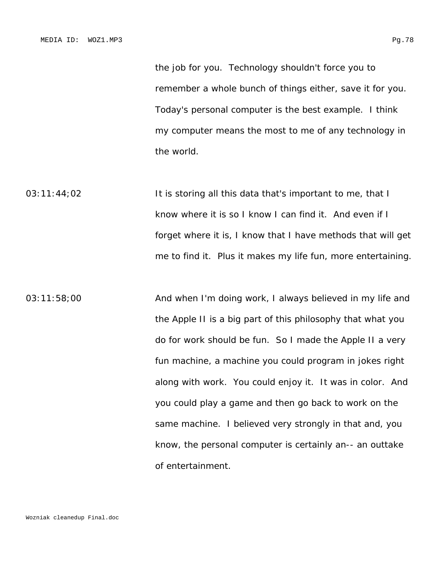remember a whole bunch of things either, save it for you. Today's personal computer is the best example. I think my computer means the most to me of any technology in the world.

03:11:44;02 It is storing all this data that's important to me, that I know where it is so I know I can find it. And even if I forget where it is, I know that I have methods that will get me to find it. Plus it makes my life fun, more entertaining.

03:11:58;00 **And when I'm doing work, I always believed in my life and** the Apple II is a big part of this philosophy that what you do for work should be fun. So I made the Apple II a very fun machine, a machine you could program in jokes right along with work. You could enjoy it. It was in color. And you could play a game and then go back to work on the same machine. I believed very strongly in that and, you know, the personal computer is certainly an-- an outtake of entertainment.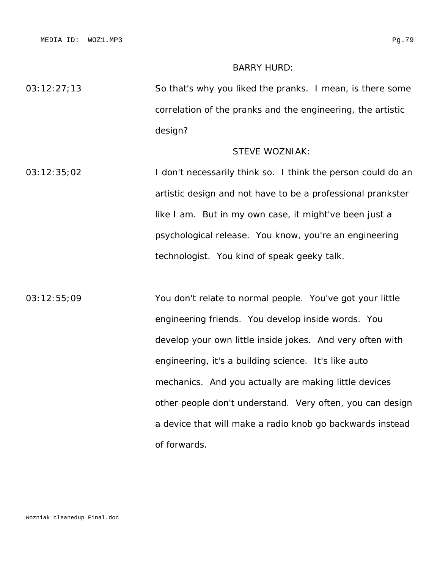MEDIA ID: WOZ1.MP3 Pg.79

# BARRY HURD:

03:12:27;13 So that's why you liked the pranks. I mean, is there some correlation of the pranks and the engineering, the artistic design?

# STEVE WOZNIAK:

03:12:35;02 I don't necessarily think so. I think the person could do an artistic design and not have to be a professional prankster like I am. But in my own case, it might've been just a psychological release. You know, you're an engineering technologist. You kind of speak geeky talk.

03:12:55;09 You don't relate to normal people. You've got your little engineering friends. You develop inside words. You develop your own little inside jokes. And very often with engineering, it's a building science. It's like auto mechanics. And you actually are making little devices other people don't understand. Very often, you can design a device that will make a radio knob go backwards instead of forwards.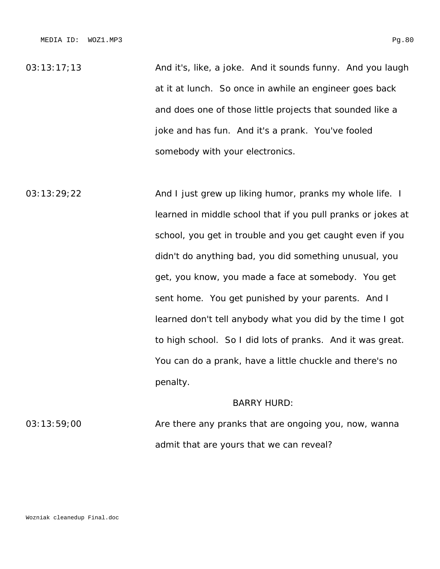03:13:17:13 And it's, like, a joke. And it sounds funny. And you laugh at it at lunch. So once in awhile an engineer goes back and does one of those little projects that sounded like a joke and has fun. And it's a prank. You've fooled somebody with your electronics.

03:13:29;22 **And I just grew up liking humor, pranks my whole life.** I learned in middle school that if you pull pranks or jokes at school, you get in trouble and you get caught even if you didn't do anything bad, you did something unusual, you get, you know, you made a face at somebody. You get sent home. You get punished by your parents. And I learned don't tell anybody what you did by the time I got to high school. So I did lots of pranks. And it was great. You can do a prank, have a little chuckle and there's no penalty.

# BARRY HURD:

03:13:59;00 Are there any pranks that are ongoing you, now, wanna admit that are yours that we can reveal?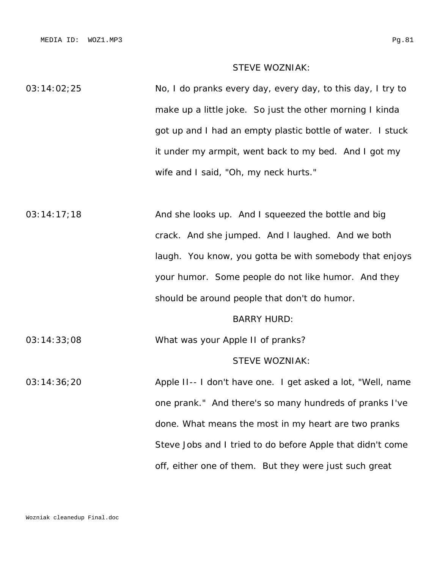## STEVE WOZNIAK:

03:14:02;25 No, I do pranks every day, every day, to this day, I try to make up a little joke. So just the other morning I kinda got up and I had an empty plastic bottle of water. I stuck it under my armpit, went back to my bed. And I got my wife and I said, "Oh, my neck hurts."

03:14:17;18 And she looks up. And I squeezed the bottle and big crack. And she jumped. And I laughed. And we both laugh. You know, you gotta be with somebody that enjoys your humor. Some people do not like humor. And they should be around people that don't do humor.

#### BARRY HURD:

03:14:33;08 What was your Apple II of pranks?

# STEVE WOZNIAK:

03:14:36;20 Apple II-- I don't have one. I get asked a lot, "Well, name one prank." And there's so many hundreds of pranks I've done. What means the most in my heart are two pranks Steve Jobs and I tried to do before Apple that didn't come off, either one of them. But they were just such great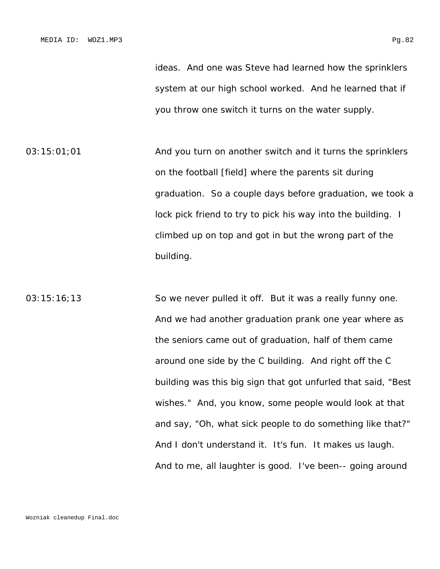03:15:01;01 And you turn on another switch and it turns the sprinklers on the football [field] where the parents sit during graduation. So a couple days before graduation, we took a lock pick friend to try to pick his way into the building. I climbed up on top and got in but the wrong part of the building.

03:15:16;13 So we never pulled it off. But it was a really funny one. And we had another graduation prank one year where as the seniors came out of graduation, half of them came around one side by the C building. And right off the C building was this big sign that got unfurled that said, "Best wishes." And, you know, some people would look at that and say, "Oh, what sick people to do something like that?" And I don't understand it. It's fun. It makes us laugh. And to me, all laughter is good. I've been-- going around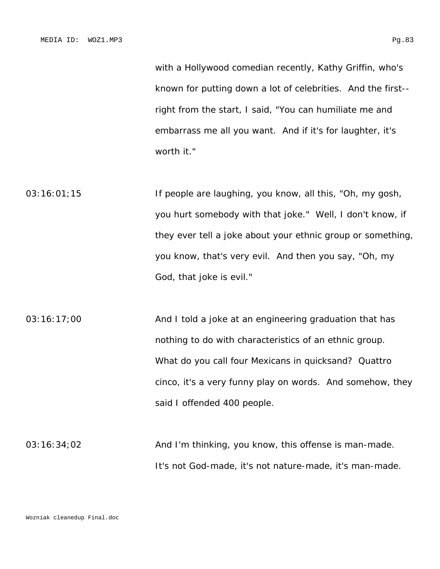with a Hollywood comedian recently, Kathy Griffin, who's known for putting down a lot of celebrities. And the first- right from the start, I said, "You can humiliate me and embarrass me all you want. And if it's for laughter, it's worth it."

03:16:01;15 If people are laughing, you know, all this, "Oh, my gosh, you hurt somebody with that joke." Well, I don't know, if they ever tell a joke about your ethnic group or something, you know, that's very evil. And then you say, "Oh, my God, that joke is evil."

03:16:17;00 And I told a joke at an engineering graduation that has nothing to do with characteristics of an ethnic group. What do you call four Mexicans in quicksand? Quattro cinco, it's a very funny play on words. And somehow, they said I offended 400 people.

03:16:34;02 And I'm thinking, you know, this offense is man-made. It's not God-made, it's not nature-made, it's man-made.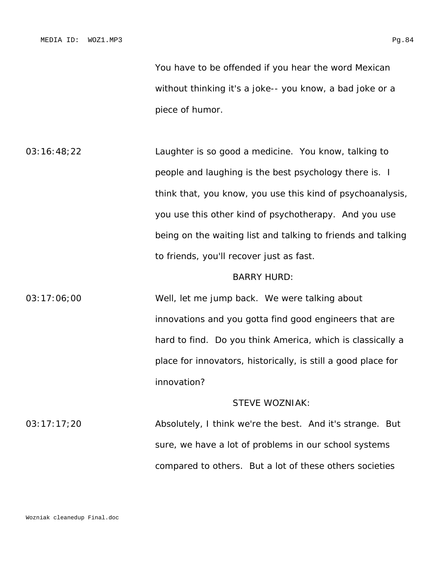You have to be offended if you hear the word Mexican without thinking it's a joke-- you know, a bad joke or a piece of humor.

03:16:48;22 Laughter is so good a medicine. You know, talking to people and laughing is the best psychology there is. I think that, you know, you use this kind of psychoanalysis, you use this other kind of psychotherapy. And you use being on the waiting list and talking to friends and talking to friends, you'll recover just as fast.

### BARRY HURD:

03:17:06;00 Well, let me jump back. We were talking about innovations and you gotta find good engineers that are hard to find. Do you think America, which is classically a place for innovators, historically, is still a good place for innovation?

# STEVE WOZNIAK:

03:17:17;20 Absolutely, I think we're the best. And it's strange. But sure, we have a lot of problems in our school systems compared to others. But a lot of these others societies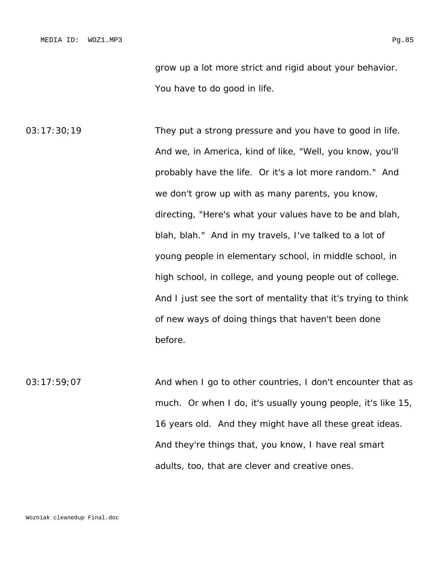grow up a lot more strict and rigid about your behavior. You have to do good in life.

03:17:30;19 They put a strong pressure and you have to good in life. And we, in America, kind of like, "Well, you know, you'll probably have the life. Or it's a lot more random." And we don't grow up with as many parents, you know, directing, "Here's what your values have to be and blah, blah, blah." And in my travels, I've talked to a lot of young people in elementary school, in middle school, in high school, in college, and young people out of college. And I just see the sort of mentality that it's trying to think of new ways of doing things that haven't been done before.

03:17:59;07 And when I go to other countries, I don't encounter that as much. Or when I do, it's usually young people, it's like 15, 16 years old. And they might have all these great ideas. And they're things that, you know, I have real smart adults, too, that are clever and creative ones.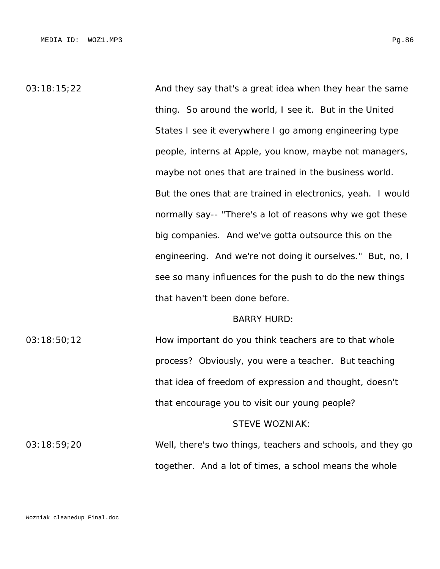03:18:15;22 And they say that's a great idea when they hear the same thing. So around the world, I see it. But in the United States I see it everywhere I go among engineering type people, interns at Apple, you know, maybe not managers, maybe not ones that are trained in the business world. But the ones that are trained in electronics, yeah. I would normally say-- "There's a lot of reasons why we got these big companies. And we've gotta outsource this on the engineering. And we're not doing it ourselves." But, no, I see so many influences for the push to do the new things that haven't been done before.

#### BARRY HURD:

03:18:50;12 How important do you think teachers are to that whole process? Obviously, you were a teacher. But teaching that idea of freedom of expression and thought, doesn't that encourage you to visit our young people?

#### STEVE WOZNIAK:

03:18:59;20 Well, there's two things, teachers and schools, and they go together. And a lot of times, a school means the whole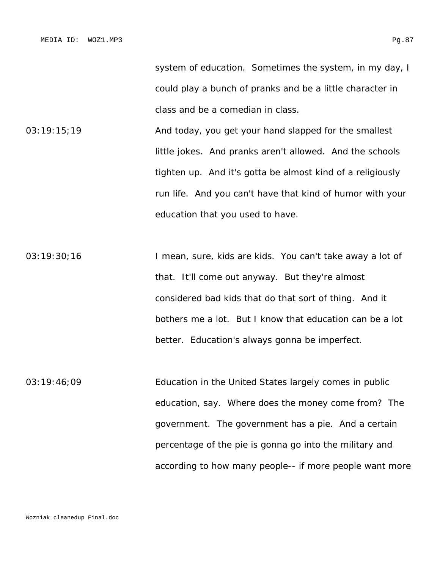system of education. Sometimes the system, in my day, I could play a bunch of pranks and be a little character in class and be a comedian in class.

03:19:15;19 **And today, you get your hand slapped for the smallest** little jokes. And pranks aren't allowed. And the schools tighten up. And it's gotta be almost kind of a religiously run life. And you can't have that kind of humor with your education that you used to have.

03:19:30;16 I mean, sure, kids are kids. You can't take away a lot of that. It'll come out anyway. But they're almost considered bad kids that do that sort of thing. And it bothers me a lot. But I know that education can be a lot better. Education's always gonna be imperfect.

03:19:46;09 Education in the United States largely comes in public education, say. Where does the money come from? The government. The government has a pie. And a certain percentage of the pie is gonna go into the military and according to how many people-- if more people want more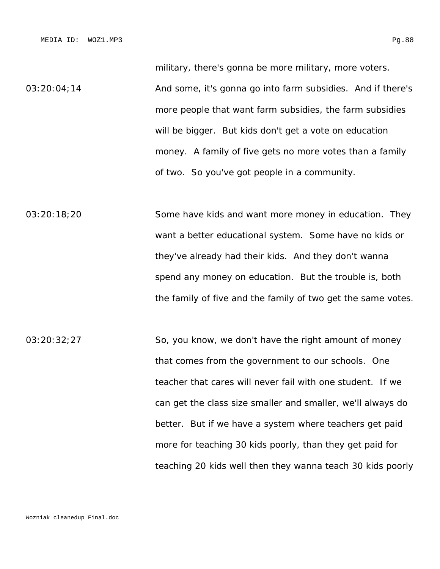military, there's gonna be more military, more voters. 03:20:04;14 **And some, it's gonna go into farm subsidies.** And if there's more people that want farm subsidies, the farm subsidies will be bigger. But kids don't get a vote on education money. A family of five gets no more votes than a family of two. So you've got people in a community.

03:20:18;20 Some have kids and want more money in education. They want a better educational system. Some have no kids or they've already had their kids. And they don't wanna spend any money on education. But the trouble is, both the family of five and the family of two get the same votes.

03:20:32;27 So, you know, we don't have the right amount of money that comes from the government to our schools. One teacher that cares will never fail with one student. If we can get the class size smaller and smaller, we'll always do better. But if we have a system where teachers get paid more for teaching 30 kids poorly, than they get paid for teaching 20 kids well then they wanna teach 30 kids poorly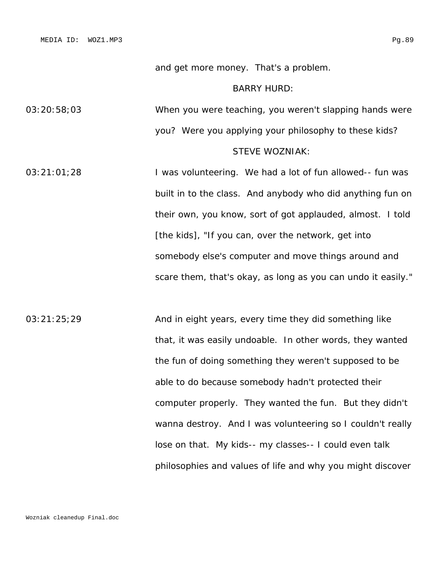and get more money. That's a problem.

## BARRY HURD:

03:20:58;03 When you were teaching, you weren't slapping hands were you? Were you applying your philosophy to these kids?

# STEVE WOZNIAK:

03:21:01;28 I was volunteering. We had a lot of fun allowed-- fun was built in to the class. And anybody who did anything fun on their own, you know, sort of got applauded, almost. I told [the kids], "If you can, over the network, get into somebody else's computer and move things around and scare them, that's okay, as long as you can undo it easily."

03:21:25;29 And in eight years, every time they did something like that, it was easily undoable. In other words, they wanted the fun of doing something they weren't supposed to be able to do because somebody hadn't protected their computer properly. They wanted the fun. But they didn't wanna destroy. And I was volunteering so I couldn't really lose on that. My kids-- my classes-- I could even talk philosophies and values of life and why you might discover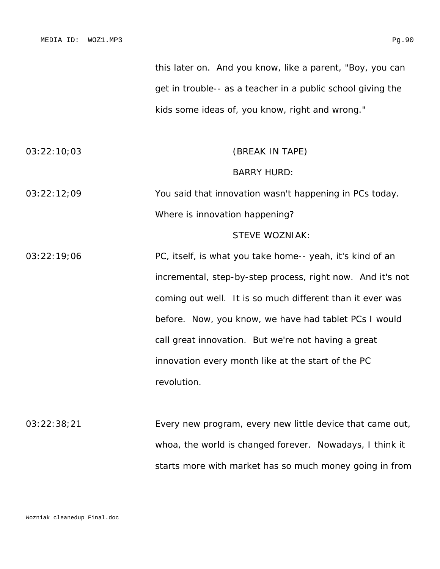this later on. And you know, like a parent, "Boy, you can get in trouble-- as a teacher in a public school giving the kids some ideas of, you know, right and wrong."

| 03:22:10:03 | (BREAK IN TAPE)                                         |  |
|-------------|---------------------------------------------------------|--|
|             | <b>BARRY HURD:</b>                                      |  |
| 03:22:12:09 | You said that innovation wasn't happening in PCs today. |  |
|             | Where is innovation happening?                          |  |

### STEVE WOZNIAK:

03:22:19;06 PC, itself, is what you take home-- yeah, it's kind of an incremental, step-by-step process, right now. And it's not coming out well. It is so much different than it ever was before. Now, you know, we have had tablet PCs I would call great innovation. But we're not having a great innovation every month like at the start of the PC revolution.

03:22:38;21 Every new program, every new little device that came out, whoa, the world is changed forever. Nowadays, I think it starts more with market has so much money going in from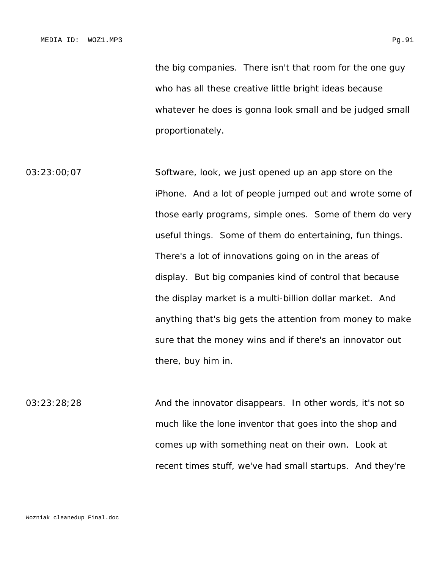the big companies. There isn't that room for the one guy who has all these creative little bright ideas because whatever he does is gonna look small and be judged small proportionately.

03:23:00;07 Software, look, we just opened up an app store on the iPhone. And a lot of people jumped out and wrote some of those early programs, simple ones. Some of them do very useful things. Some of them do entertaining, fun things. There's a lot of innovations going on in the areas of display. But big companies kind of control that because the display market is a multi-billion dollar market. And anything that's big gets the attention from money to make sure that the money wins and if there's an innovator out there, buy him in.

03:23:28;28 And the innovator disappears. In other words, it's not so much like the lone inventor that goes into the shop and comes up with something neat on their own. Look at recent times stuff, we've had small startups. And they're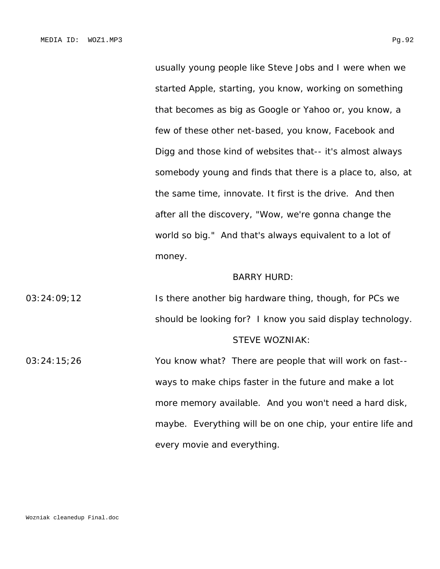usually young people like Steve Jobs and I were when we started Apple, starting, you know, working on something that becomes as big as Google or Yahoo or, you know, a few of these other net-based, you know, Facebook and Digg and those kind of websites that-- it's almost always somebody young and finds that there is a place to, also, at the same time, innovate. It first is the drive. And then after all the discovery, "Wow, we're gonna change the world so big." And that's always equivalent to a lot of money.

#### BARRY HURD:

03:24:09;12 Is there another big hardware thing, though, for PCs we should be looking for? I know you said display technology. STEVE WOZNIAK:

03:24:15;26 You know what? There are people that will work on fast- ways to make chips faster in the future and make a lot more memory available. And you won't need a hard disk, maybe. Everything will be on one chip, your entire life and every movie and everything.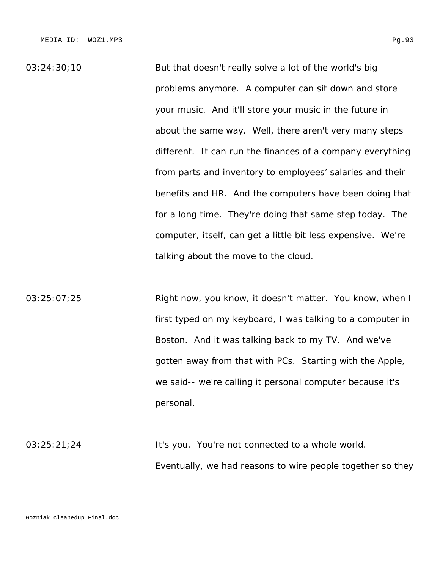03:24:30;10 But that doesn't really solve a lot of the world's big problems anymore. A computer can sit down and store your music. And it'll store your music in the future in about the same way. Well, there aren't very many steps different. It can run the finances of a company everything from parts and inventory to employees' salaries and their benefits and HR. And the computers have been doing that for a long time. They're doing that same step today. The computer, itself, can get a little bit less expensive. We're talking about the move to the cloud.

03:25:07;25 **Right now, you know, it doesn't matter.** You know, when I first typed on my keyboard, I was talking to a computer in Boston. And it was talking back to my TV. And we've gotten away from that with PCs. Starting with the Apple, we said-- we're calling it personal computer because it's personal.

03:25:21;24 It's you. You're not connected to a whole world. Eventually, we had reasons to wire people together so they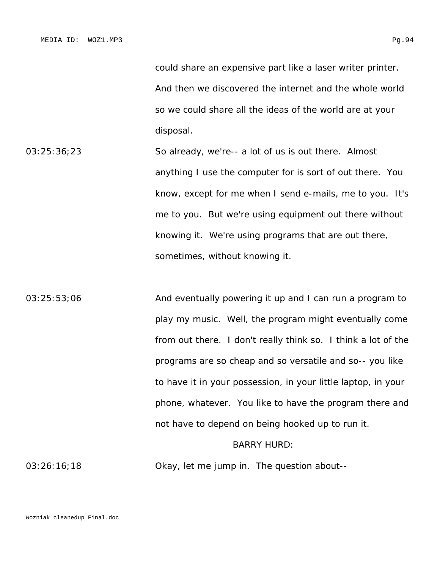could share an expensive part like a laser writer printer. And then we discovered the internet and the whole world so we could share all the ideas of the world are at your disposal.

- 03:25:36;23 So already, we're-- a lot of us is out there. Almost anything I use the computer for is sort of out there. You know, except for me when I send e-mails, me to you. It's me to you. But we're using equipment out there without knowing it. We're using programs that are out there, sometimes, without knowing it.
- 03:25:53;06 **And eventually powering it up and I can run a program to** play my music. Well, the program might eventually come from out there. I don't really think so. I think a lot of the programs are so cheap and so versatile and so-- you like to have it in your possession, in your little laptop, in your phone, whatever. You like to have the program there and not have to depend on being hooked up to run it. BARRY HURD:

03:26:16;18 Okay, let me jump in. The question about--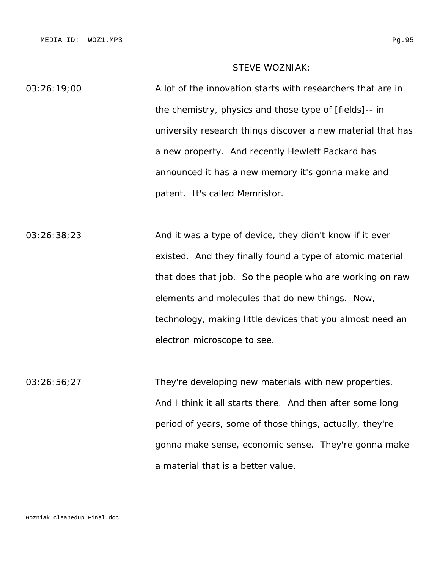# STEVE WOZNIAK:

03:26:19;00 A lot of the innovation starts with researchers that are in the chemistry, physics and those type of [fields]-- in university research things discover a new material that has a new property. And recently Hewlett Packard has announced it has a new memory it's gonna make and patent. It's called Memristor.

03:26:38;23 And it was a type of device, they didn't know if it ever existed. And they finally found a type of atomic material that does that job. So the people who are working on raw elements and molecules that do new things. Now, technology, making little devices that you almost need an electron microscope to see.

03:26:56;27 They're developing new materials with new properties. And I think it all starts there. And then after some long period of years, some of those things, actually, they're gonna make sense, economic sense. They're gonna make a material that is a better value.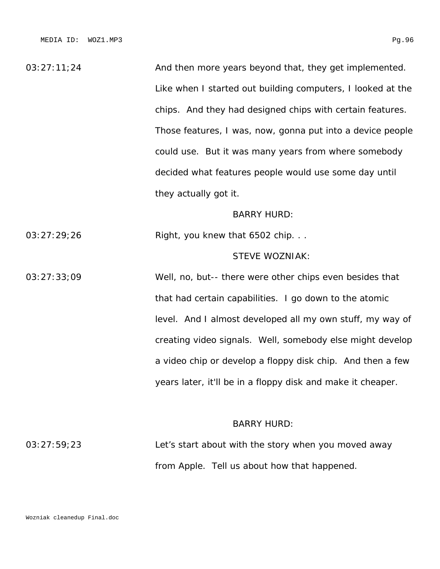03:27:11;24 And then more years beyond that, they get implemented. Like when I started out building computers, I looked at the chips. And they had designed chips with certain features. Those features, I was, now, gonna put into a device people could use. But it was many years from where somebody decided what features people would use some day until they actually got it.

# BARRY HURD:

03:27:29;26 Right, you knew that 6502 chip. . .

# STEVE WOZNIAK:

03:27:33;09 Well, no, but-- there were other chips even besides that that had certain capabilities. I go down to the atomic level. And I almost developed all my own stuff, my way of creating video signals. Well, somebody else might develop a video chip or develop a floppy disk chip. And then a few years later, it'll be in a floppy disk and make it cheaper.

### BARRY HURD:

03:27:59;23 Let's start about with the story when you moved away from Apple. Tell us about how that happened.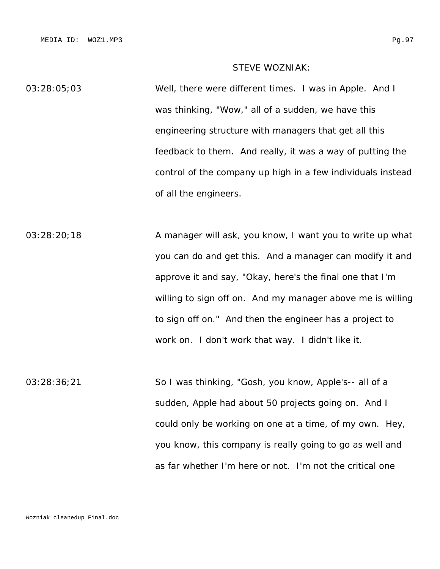# STEVE WOZNIAK:

03:28:05;03 Well, there were different times. I was in Apple. And I was thinking, "Wow," all of a sudden, we have this engineering structure with managers that get all this feedback to them. And really, it was a way of putting the control of the company up high in a few individuals instead of all the engineers.

03:28:20;18 A manager will ask, you know, I want you to write up what you can do and get this. And a manager can modify it and approve it and say, "Okay, here's the final one that I'm willing to sign off on. And my manager above me is willing to sign off on." And then the engineer has a project to work on. I don't work that way. I didn't like it.

03:28:36;21 So I was thinking, "Gosh, you know, Apple's-- all of a sudden, Apple had about 50 projects going on. And I could only be working on one at a time, of my own. Hey, you know, this company is really going to go as well and as far whether I'm here or not. I'm not the critical one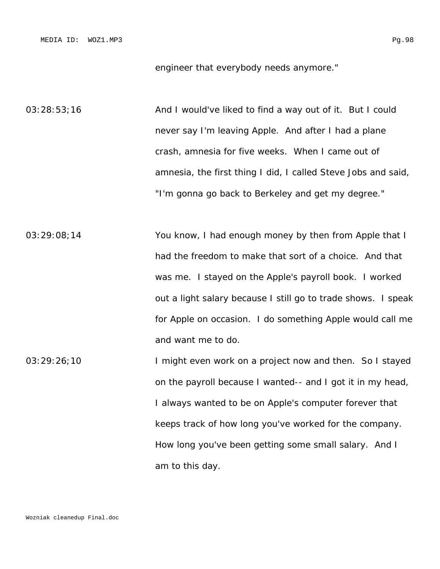03:28:53;16 **And I would've liked to find a way out of it. But I could** never say I'm leaving Apple. And after I had a plane crash, amnesia for five weeks. When I came out of amnesia, the first thing I did, I called Steve Jobs and said, "I'm gonna go back to Berkeley and get my degree."

03:29:08;14 You know, I had enough money by then from Apple that I had the freedom to make that sort of a choice. And that was me. I stayed on the Apple's payroll book. I worked out a light salary because I still go to trade shows. I speak for Apple on occasion. I do something Apple would call me and want me to do.

03:29:26;10 I might even work on a project now and then. So I stayed on the payroll because I wanted-- and I got it in my head, I always wanted to be on Apple's computer forever that keeps track of how long you've worked for the company. How long you've been getting some small salary. And I am to this day.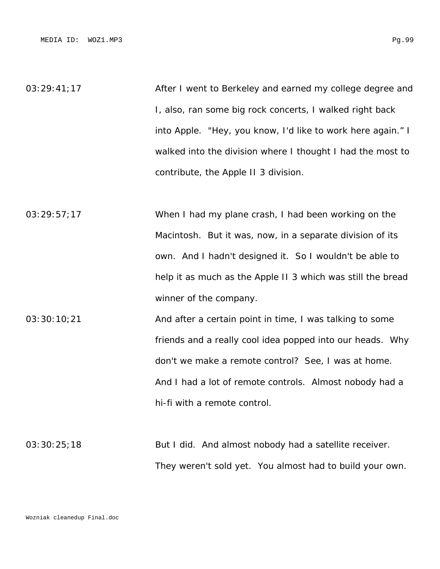03:29:41;17 **After I went to Berkeley and earned my college degree and** I, also, ran some big rock concerts, I walked right back into Apple. "Hey, you know, I'd like to work here again." I walked into the division where I thought I had the most to contribute, the Apple II 3 division.

03:29:57;17 When I had my plane crash, I had been working on the Macintosh. But it was, now, in a separate division of its own. And I hadn't designed it. So I wouldn't be able to help it as much as the Apple II 3 which was still the bread winner of the company.

03:30:10;21 And after a certain point in time, I was talking to some friends and a really cool idea popped into our heads. Why don't we make a remote control? See, I was at home. And I had a lot of remote controls. Almost nobody had a hi-fi with a remote control.

03:30:25;18 But I did. And almost nobody had a satellite receiver. They weren't sold yet. You almost had to build your own.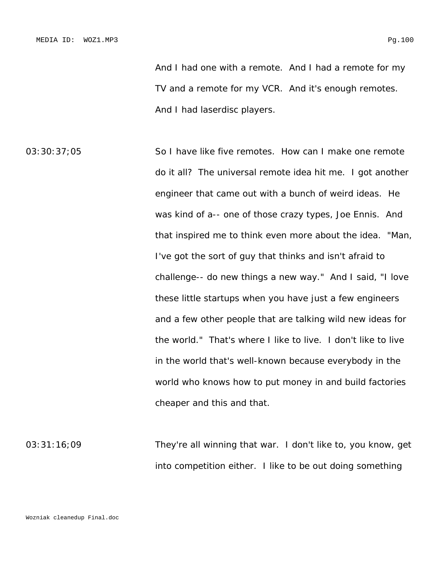03:30:37:05 So I have like five remotes. How can I make one remote do it all? The universal remote idea hit me. I got another engineer that came out with a bunch of weird ideas. He was kind of a-- one of those crazy types, Joe Ennis. And that inspired me to think even more about the idea. "Man, I've got the sort of guy that thinks and isn't afraid to challenge-- do new things a new way." And I said, "I love these little startups when you have just a few engineers and a few other people that are talking wild new ideas for the world." That's where I like to live. I don't like to live in the world that's well-known because everybody in the world who knows how to put money in and build factories cheaper and this and that.

03:31:16;09 They're all winning that war. I don't like to, you know, get into competition either. I like to be out doing something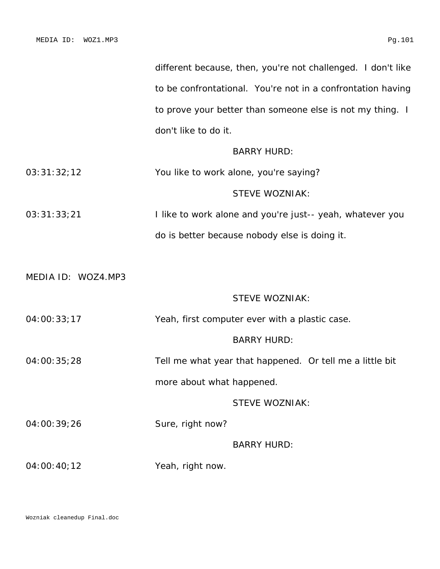|                    |                           | different because, then, you're not challenged. I don't like |  |
|--------------------|---------------------------|--------------------------------------------------------------|--|
|                    |                           | to be confrontational. You're not in a confrontation having  |  |
|                    |                           | to prove your better than someone else is not my thing. I    |  |
|                    | don't like to do it.      |                                                              |  |
|                    |                           | <b>BARRY HURD:</b>                                           |  |
| 03:31:32;12        |                           | You like to work alone, you're saying?                       |  |
|                    |                           | <b>STEVE WOZNIAK:</b>                                        |  |
| 03:31:33;21        |                           | I like to work alone and you're just-- yeah, whatever you    |  |
|                    |                           | do is better because nobody else is doing it.                |  |
|                    |                           |                                                              |  |
| MEDIA ID: WOZ4.MP3 |                           |                                                              |  |
|                    |                           | <b>STEVE WOZNIAK:</b>                                        |  |
| 04:00:33;17        |                           | Yeah, first computer ever with a plastic case.               |  |
|                    |                           | <b>BARRY HURD:</b>                                           |  |
| 04:00:35;28        |                           | Tell me what year that happened. Or tell me a little bit     |  |
|                    | more about what happened. |                                                              |  |
|                    |                           | <b>STEVE WOZNIAK:</b>                                        |  |
| 04:00:39;26        | Sure, right now?          |                                                              |  |
|                    |                           | <b>BARRY HURD:</b>                                           |  |
| 04:00:40;12        | Yeah, right now.          |                                                              |  |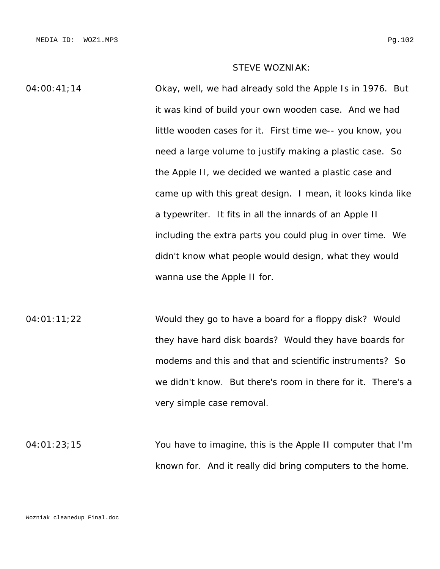# STEVE WOZNIAK:

04:00:41;14 Okay, well, we had already sold the Apple Is in 1976. But it was kind of build your own wooden case. And we had little wooden cases for it. First time we-- you know, you need a large volume to justify making a plastic case. So the Apple II, we decided we wanted a plastic case and came up with this great design. I mean, it looks kinda like a typewriter. It fits in all the innards of an Apple II including the extra parts you could plug in over time. We didn't know what people would design, what they would wanna use the Apple II for.

04:01:11;22 Would they go to have a board for a floppy disk? Would they have hard disk boards? Would they have boards for modems and this and that and scientific instruments? So we didn't know. But there's room in there for it. There's a very simple case removal.

04:01:23;15 You have to imagine, this is the Apple II computer that I'm known for. And it really did bring computers to the home.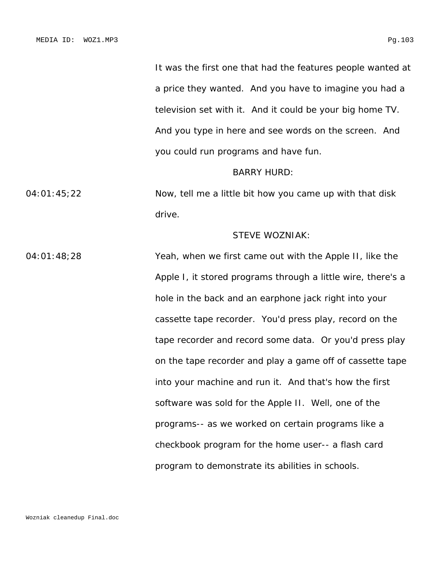It was the first one that had the features people wanted at a price they wanted. And you have to imagine you had a television set with it. And it could be your big home TV. And you type in here and see words on the screen. And you could run programs and have fun.

#### BARRY HURD:

04:01:45;22 Now, tell me a little bit how you came up with that disk drive.

# STEVE WOZNIAK:

04:01:48;28 Yeah, when we first came out with the Apple II, like the Apple I, it stored programs through a little wire, there's a hole in the back and an earphone jack right into your cassette tape recorder. You'd press play, record on the tape recorder and record some data. Or you'd press play on the tape recorder and play a game off of cassette tape into your machine and run it. And that's how the first software was sold for the Apple II. Well, one of the programs-- as we worked on certain programs like a checkbook program for the home user-- a flash card program to demonstrate its abilities in schools.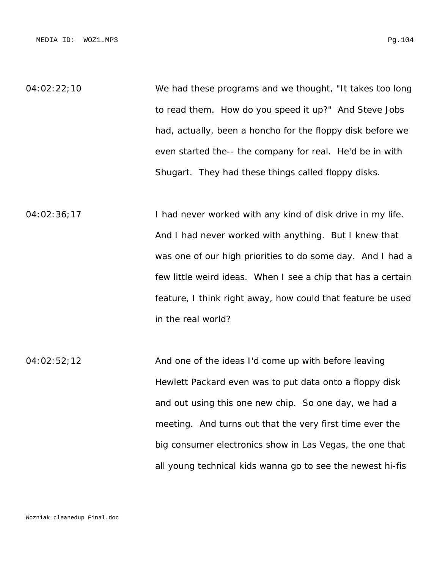04:02:22;10 We had these programs and we thought, "It takes too long to read them. How do you speed it up?" And Steve Jobs had, actually, been a honcho for the floppy disk before we even started the-- the company for real. He'd be in with Shugart. They had these things called floppy disks.

04:02:36;17 I had never worked with any kind of disk drive in my life. And I had never worked with anything. But I knew that was one of our high priorities to do some day. And I had a few little weird ideas. When I see a chip that has a certain feature, I think right away, how could that feature be used in the real world?

04:02:52;12 And one of the ideas I'd come up with before leaving Hewlett Packard even was to put data onto a floppy disk and out using this one new chip. So one day, we had a meeting. And turns out that the very first time ever the big consumer electronics show in Las Vegas, the one that all young technical kids wanna go to see the newest hi-fis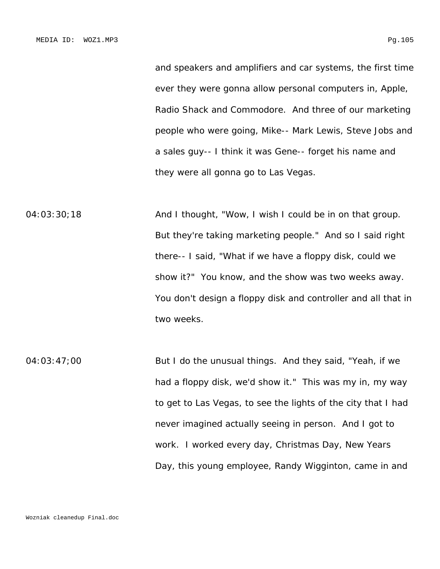and speakers and amplifiers and car systems, the first time ever they were gonna allow personal computers in, Apple, Radio Shack and Commodore. And three of our marketing people who were going, Mike-- Mark Lewis, Steve Jobs and a sales guy-- I think it was Gene-- forget his name and

they were all gonna go to Las Vegas.

04:03:30;18 And I thought, "Wow, I wish I could be in on that group. But they're taking marketing people." And so I said right there-- I said, "What if we have a floppy disk, could we show it?" You know, and the show was two weeks away. You don't design a floppy disk and controller and all that in two weeks.

04:03:47;00 But I do the unusual things. And they said, "Yeah, if we had a floppy disk, we'd show it." This was my in, my way to get to Las Vegas, to see the lights of the city that I had never imagined actually seeing in person. And I got to work. I worked every day, Christmas Day, New Years Day, this young employee, Randy Wigginton, came in and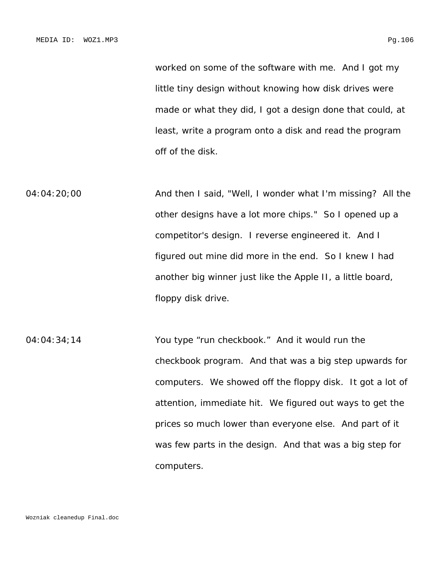worked on some of the software with me. And I got my little tiny design without knowing how disk drives were made or what they did, I got a design done that could, at least, write a program onto a disk and read the program off of the disk.

04:04:20;00 **And then I said, "Well, I wonder what I'm missing? All the** other designs have a lot more chips." So I opened up a competitor's design. I reverse engineered it. And I figured out mine did more in the end. So I knew I had another big winner just like the Apple II, a little board, floppy disk drive.

04:04:34;14 You type "run checkbook." And it would run the checkbook program. And that was a big step upwards for computers. We showed off the floppy disk. It got a lot of attention, immediate hit. We figured out ways to get the prices so much lower than everyone else. And part of it was few parts in the design. And that was a big step for computers.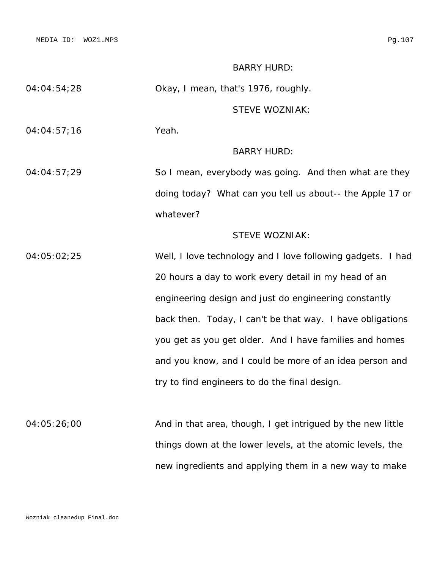MEDIA ID: WOZ1.MP3 Pg.107

# BARRY HURD:

04:04:54;28 Okay, I mean, that's 1976, roughly.

# STEVE WOZNIAK:

04:04:57;16 Yeah.

## BARRY HURD:

04:04:57;29 So I mean, everybody was going. And then what are they doing today? What can you tell us about-- the Apple 17 or whatever?

# STEVE WOZNIAK:

04:05:02;25 Well, I love technology and I love following gadgets. I had 20 hours a day to work every detail in my head of an engineering design and just do engineering constantly back then. Today, I can't be that way. I have obligations you get as you get older. And I have families and homes and you know, and I could be more of an idea person and try to find engineers to do the final design.

04:05:26;00 And in that area, though, I get intrigued by the new little things down at the lower levels, at the atomic levels, the new ingredients and applying them in a new way to make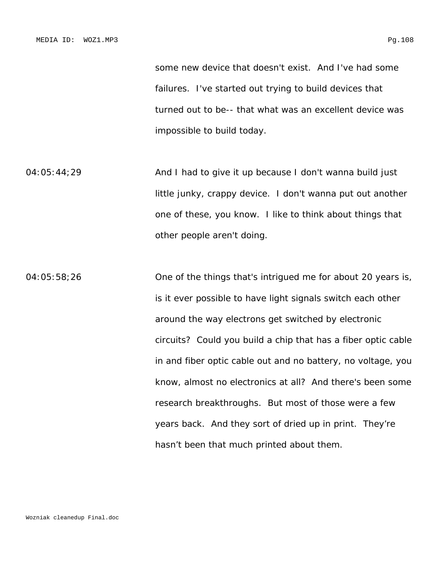some new device that doesn't exist. And I've had some failures. I've started out trying to build devices that turned out to be-- that what was an excellent device was impossible to build today.

04:05:44;29 **And I had to give it up because I don't wanna build just** little junky, crappy device. I don't wanna put out another one of these, you know. I like to think about things that other people aren't doing.

04:05:58;26 One of the things that's intrigued me for about 20 years is, is it ever possible to have light signals switch each other around the way electrons get switched by electronic circuits? Could you build a chip that has a fiber optic cable in and fiber optic cable out and no battery, no voltage, you know, almost no electronics at all? And there's been some research breakthroughs. But most of those were a few years back. And they sort of dried up in print. They're hasn't been that much printed about them.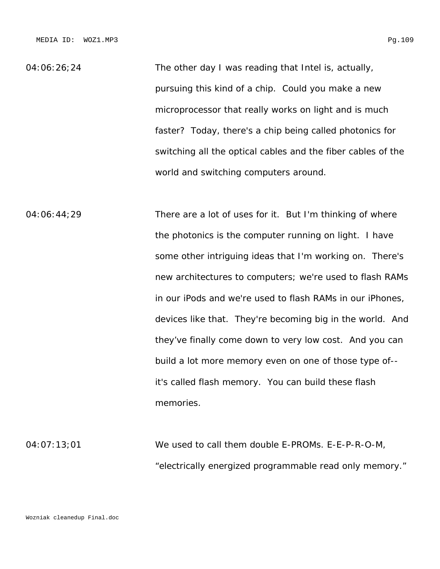04:06:26;24 The other day I was reading that Intel is, actually, pursuing this kind of a chip. Could you make a new microprocessor that really works on light and is much faster? Today, there's a chip being called photonics for switching all the optical cables and the fiber cables of the world and switching computers around.

04:06:44;29 There are a lot of uses for it. But I'm thinking of where the photonics is the computer running on light. I have some other intriguing ideas that I'm working on. There's new architectures to computers; we're used to flash RAMs in our iPods and we're used to flash RAMs in our iPhones, devices like that. They're becoming big in the world. And they've finally come down to very low cost. And you can build a lot more memory even on one of those type of- it's called flash memory. You can build these flash memories.

04:07:13;01 We used to call them double E-PROMs. E-E-P-R-O-M, "electrically energized programmable read only memory."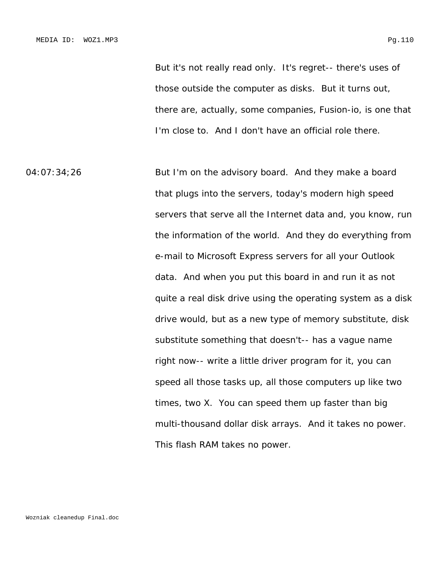But it's not really read only. It's regret-- there's uses of those outside the computer as disks. But it turns out, there are, actually, some companies, Fusion-io, is one that I'm close to. And I don't have an official role there.

04:07:34;26 But I'm on the advisory board. And they make a board that plugs into the servers, today's modern high speed servers that serve all the Internet data and, you know, run the information of the world. And they do everything from e-mail to Microsoft Express servers for all your Outlook data. And when you put this board in and run it as not quite a real disk drive using the operating system as a disk drive would, but as a new type of memory substitute, disk substitute something that doesn't-- has a vague name right now-- write a little driver program for it, you can speed all those tasks up, all those computers up like two times, two X. You can speed them up faster than big multi-thousand dollar disk arrays. And it takes no power. This flash RAM takes no power.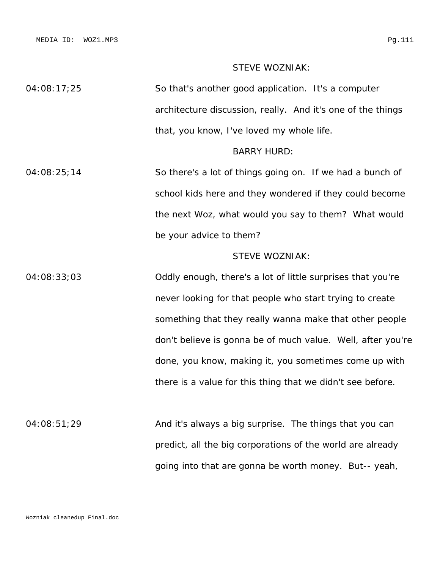MEDIA ID: WOZ1.MP3 Pg.111

# STEVE WOZNIAK:

04:08:17;25 So that's another good application. It's a computer architecture discussion, really. And it's one of the things that, you know, I've loved my whole life.

#### BARRY HURD:

04:08:25;14 So there's a lot of things going on. If we had a bunch of school kids here and they wondered if they could become the next Woz, what would you say to them? What would be your advice to them?

# STEVE WOZNIAK:

04:08:33;03 Oddly enough, there's a lot of little surprises that you're never looking for that people who start trying to create something that they really wanna make that other people don't believe is gonna be of much value. Well, after you're done, you know, making it, you sometimes come up with there is a value for this thing that we didn't see before.

04:08:51;29 And it's always a big surprise. The things that you can predict, all the big corporations of the world are already going into that are gonna be worth money. But-- yeah,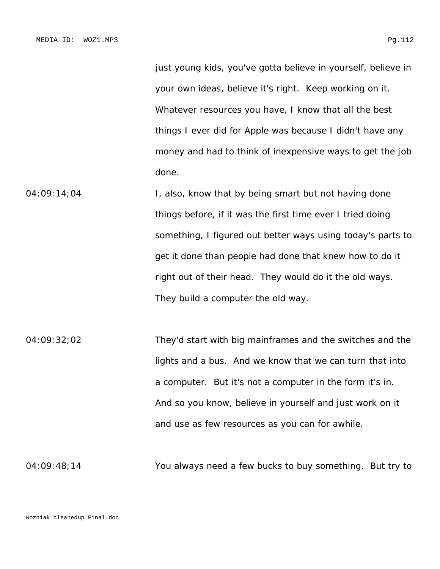just young kids, you've gotta believe in yourself, believe in your own ideas, believe it's right. Keep working on it. Whatever resources you have, I know that all the best things I ever did for Apple was because I didn't have any money and had to think of inexpensive ways to get the job done.

- 04:09:14;04 I, also, know that by being smart but not having done things before, if it was the first time ever I tried doing something, I figured out better ways using today's parts to get it done than people had done that knew how to do it right out of their head. They would do it the old ways. They build a computer the old way.
- 04:09:32;02 They'd start with big mainframes and the switches and the lights and a bus. And we know that we can turn that into a computer. But it's not a computer in the form it's in. And so you know, believe in yourself and just work on it and use as few resources as you can for awhile.

04:09:48;14 You always need a few bucks to buy something. But try to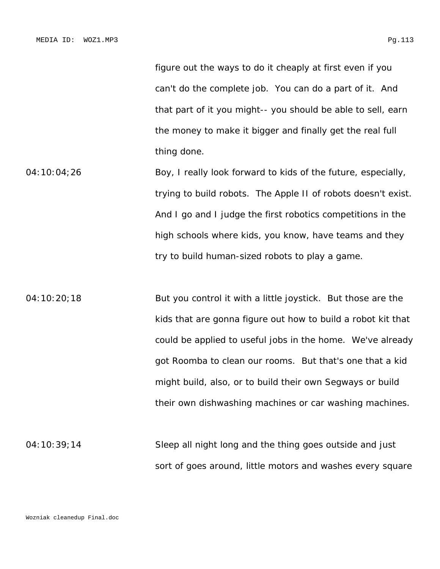figure out the ways to do it cheaply at first even if you can't do the complete job. You can do a part of it. And that part of it you might-- you should be able to sell, earn the money to make it bigger and finally get the real full thing done.

- 04:10:04;26 Boy, I really look forward to kids of the future, especially, trying to build robots. The Apple II of robots doesn't exist. And I go and I judge the first robotics competitions in the high schools where kids, you know, have teams and they try to build human-sized robots to play a game.
- 04:10:20;18 But you control it with a little joystick. But those are the kids that are gonna figure out how to build a robot kit that could be applied to useful jobs in the home. We've already got Roomba to clean our rooms. But that's one that a kid might build, also, or to build their own Segways or build their own dishwashing machines or car washing machines.
- 04:10:39;14 Sleep all night long and the thing goes outside and just sort of goes around, little motors and washes every square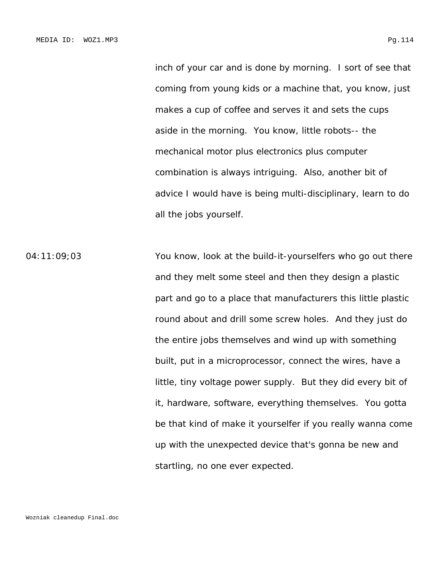inch of your car and is done by morning. I sort of see that coming from young kids or a machine that, you know, just makes a cup of coffee and serves it and sets the cups aside in the morning. You know, little robots-- the mechanical motor plus electronics plus computer combination is always intriguing. Also, another bit of advice I would have is being multi-disciplinary, learn to do all the jobs yourself.

04:11:09;03 You know, look at the build-it-yourselfers who go out there and they melt some steel and then they design a plastic part and go to a place that manufacturers this little plastic round about and drill some screw holes. And they just do the entire jobs themselves and wind up with something built, put in a microprocessor, connect the wires, have a little, tiny voltage power supply. But they did every bit of it, hardware, software, everything themselves. You gotta be that kind of make it yourselfer if you really wanna come up with the unexpected device that's gonna be new and startling, no one ever expected.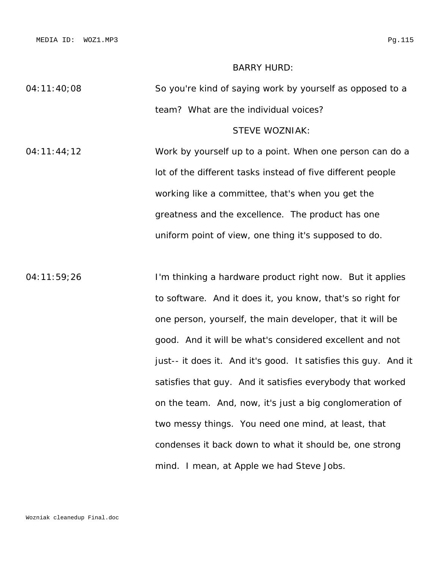#### BARRY HURD:

04:11:40;08 So you're kind of saying work by yourself as opposed to a team? What are the individual voices?

# STEVE WOZNIAK:

04:11:44;12 Work by yourself up to a point. When one person can do a lot of the different tasks instead of five different people working like a committee, that's when you get the greatness and the excellence. The product has one uniform point of view, one thing it's supposed to do.

04:11:59;26 I'm thinking a hardware product right now. But it applies to software. And it does it, you know, that's so right for one person, yourself, the main developer, that it will be good. And it will be what's considered excellent and not just-- it does it. And it's good. It satisfies this guy. And it satisfies that guy. And it satisfies everybody that worked on the team. And, now, it's just a big conglomeration of two messy things. You need one mind, at least, that condenses it back down to what it should be, one strong mind. I mean, at Apple we had Steve Jobs.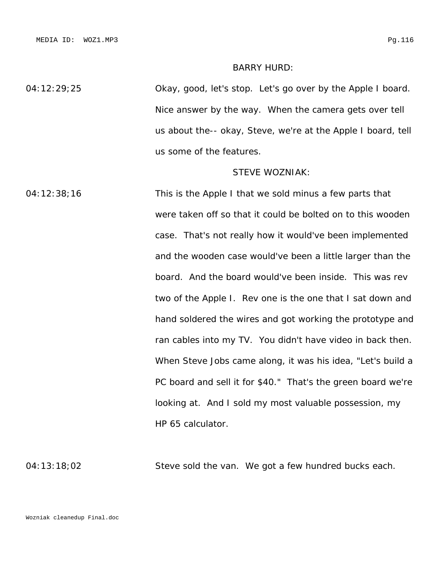#### BARRY HURD:

04:12:29;25 Okay, good, let's stop. Let's go over by the Apple I board. Nice answer by the way. When the camera gets over tell us about the-- okay, Steve, we're at the Apple I board, tell us some of the features.

#### STEVE WOZNIAK:

04:12:38;16 This is the Apple I that we sold minus a few parts that were taken off so that it could be bolted on to this wooden case. That's not really how it would've been implemented and the wooden case would've been a little larger than the board. And the board would've been inside. This was rev two of the Apple I. Rev one is the one that I sat down and hand soldered the wires and got working the prototype and ran cables into my TV. You didn't have video in back then. When Steve Jobs came along, it was his idea, "Let's build a PC board and sell it for \$40." That's the green board we're looking at. And I sold my most valuable possession, my HP 65 calculator.

04:13:18;02 Steve sold the van. We got a few hundred bucks each.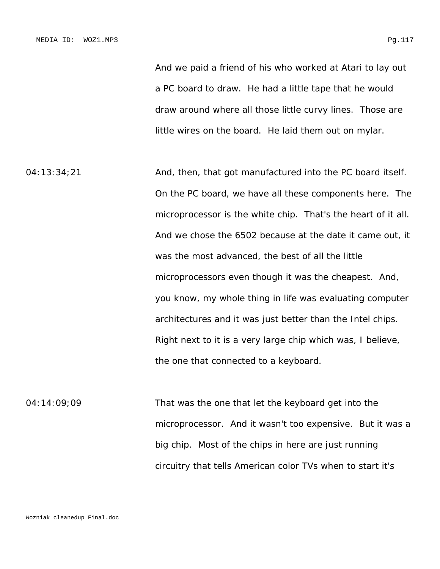And we paid a friend of his who worked at Atari to lay out a PC board to draw. He had a little tape that he would draw around where all those little curvy lines. Those are little wires on the board. He laid them out on mylar.

04:13:34;21 And, then, that got manufactured into the PC board itself. On the PC board, we have all these components here. The microprocessor is the white chip. That's the heart of it all. And we chose the 6502 because at the date it came out, it was the most advanced, the best of all the little microprocessors even though it was the cheapest. And, you know, my whole thing in life was evaluating computer architectures and it was just better than the Intel chips. Right next to it is a very large chip which was, I believe, the one that connected to a keyboard.

04:14:09;09 That was the one that let the keyboard get into the microprocessor. And it wasn't too expensive. But it was a big chip. Most of the chips in here are just running circuitry that tells American color TVs when to start it's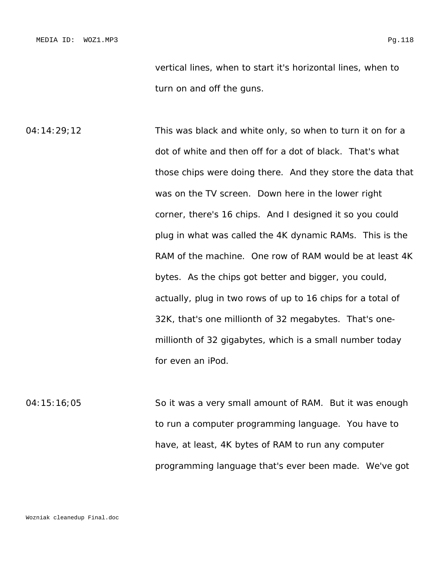vertical lines, when to start it's horizontal lines, when to turn on and off the guns.

04:14:29;12 This was black and white only, so when to turn it on for a dot of white and then off for a dot of black. That's what those chips were doing there. And they store the data that was on the TV screen. Down here in the lower right corner, there's 16 chips. And I designed it so you could plug in what was called the 4K dynamic RAMs. This is the RAM of the machine. One row of RAM would be at least 4K bytes. As the chips got better and bigger, you could, actually, plug in two rows of up to 16 chips for a total of 32K, that's one millionth of 32 megabytes. That's onemillionth of 32 gigabytes, which is a small number today for even an iPod.

04:15:16;05 So it was a very small amount of RAM. But it was enough to run a computer programming language. You have to have, at least, 4K bytes of RAM to run any computer programming language that's ever been made. We've got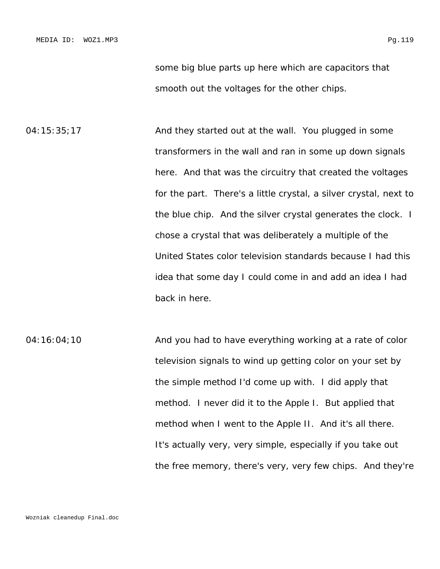some big blue parts up here which are capacitors that smooth out the voltages for the other chips.

04:15:35;17 And they started out at the wall. You plugged in some transformers in the wall and ran in some up down signals here. And that was the circuitry that created the voltages for the part. There's a little crystal, a silver crystal, next to the blue chip. And the silver crystal generates the clock. I chose a crystal that was deliberately a multiple of the United States color television standards because I had this idea that some day I could come in and add an idea I had back in here.

04:16:04;10 **And you had to have everything working at a rate of color** television signals to wind up getting color on your set by the simple method I'd come up with. I did apply that method. I never did it to the Apple I. But applied that method when I went to the Apple II. And it's all there. It's actually very, very simple, especially if you take out the free memory, there's very, very few chips. And they're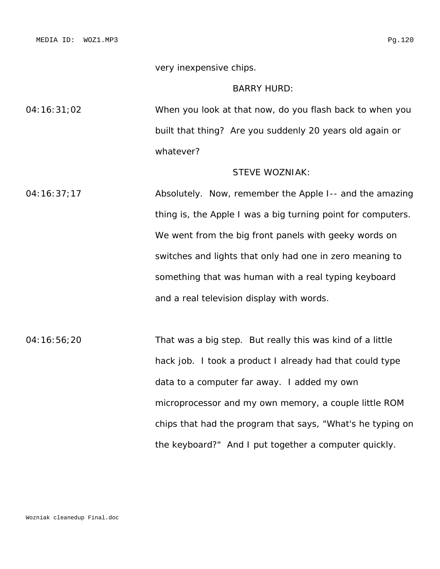very inexpensive chips.

## BARRY HURD:

04:16:31;02 When you look at that now, do you flash back to when you built that thing? Are you suddenly 20 years old again or whatever?

# STEVE WOZNIAK:

04:16:37;17 Absolutely. Now, remember the Apple I-- and the amazing thing is, the Apple I was a big turning point for computers. We went from the big front panels with geeky words on switches and lights that only had one in zero meaning to something that was human with a real typing keyboard and a real television display with words.

04:16:56;20 That was a big step. But really this was kind of a little hack job. I took a product I already had that could type data to a computer far away. I added my own microprocessor and my own memory, a couple little ROM chips that had the program that says, "What's he typing on the keyboard?" And I put together a computer quickly.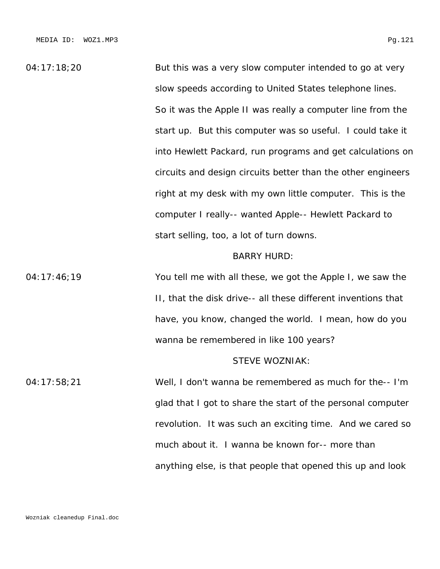04:17:18;20 But this was a very slow computer intended to go at very slow speeds according to United States telephone lines. So it was the Apple II was really a computer line from the start up. But this computer was so useful. I could take it into Hewlett Packard, run programs and get calculations on circuits and design circuits better than the other engineers right at my desk with my own little computer. This is the computer I really-- wanted Apple-- Hewlett Packard to start selling, too, a lot of turn downs.

#### BARRY HURD:

04:17:46;19 You tell me with all these, we got the Apple I, we saw the II, that the disk drive-- all these different inventions that have, you know, changed the world. I mean, how do you wanna be remembered in like 100 years?

### STEVE WOZNIAK:

04:17:58;21 Well, I don't wanna be remembered as much for the-- I'm glad that I got to share the start of the personal computer revolution. It was such an exciting time. And we cared so much about it. I wanna be known for-- more than anything else, is that people that opened this up and look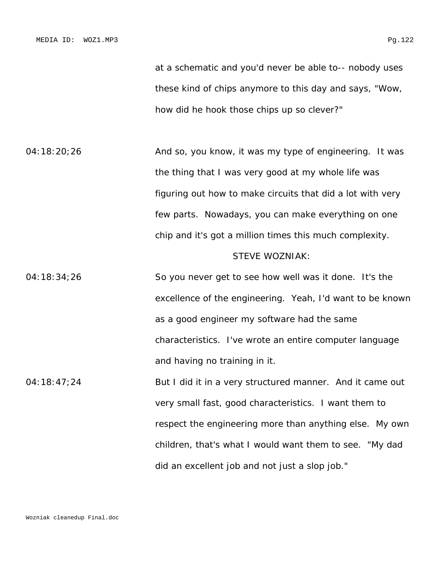at a schematic and you'd never be able to-- nobody uses these kind of chips anymore to this day and says, "Wow, how did he hook those chips up so clever?"

04:18:20;26 **And so, you know, it was my type of engineering.** It was the thing that I was very good at my whole life was figuring out how to make circuits that did a lot with very few parts. Nowadays, you can make everything on one chip and it's got a million times this much complexity.

#### STEVE WOZNIAK:

04:18:34;26 So you never get to see how well was it done. It's the excellence of the engineering. Yeah, I'd want to be known as a good engineer my software had the same characteristics. I've wrote an entire computer language and having no training in it.

04:18:47;24 But I did it in a very structured manner. And it came out very small fast, good characteristics. I want them to respect the engineering more than anything else. My own children, that's what I would want them to see. "My dad did an excellent job and not just a slop job."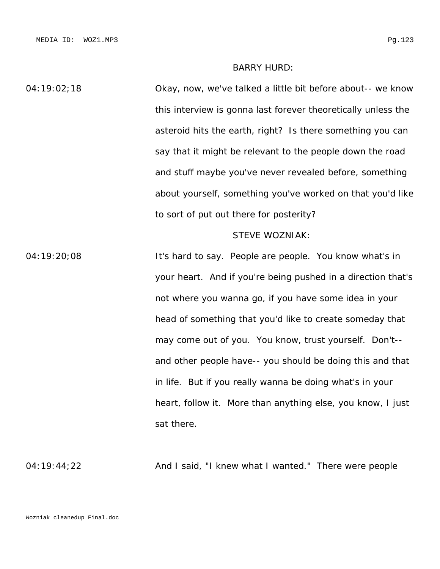## BARRY HURD:

04:19:02;18 Okay, now, we've talked a little bit before about-- we know this interview is gonna last forever theoretically unless the asteroid hits the earth, right? Is there something you can say that it might be relevant to the people down the road and stuff maybe you've never revealed before, something about yourself, something you've worked on that you'd like to sort of put out there for posterity? STEVE WOZNIAK: 04:19:20;08 It's hard to say. People are people. You know what's in your heart. And if you're being pushed in a direction that's

not where you wanna go, if you have some idea in your head of something that you'd like to create someday that may come out of you. You know, trust yourself. Don't- and other people have-- you should be doing this and that in life. But if you really wanna be doing what's in your heart, follow it. More than anything else, you know, I just sat there.

04:19:44;22 **And I said, "I knew what I wanted."** There were people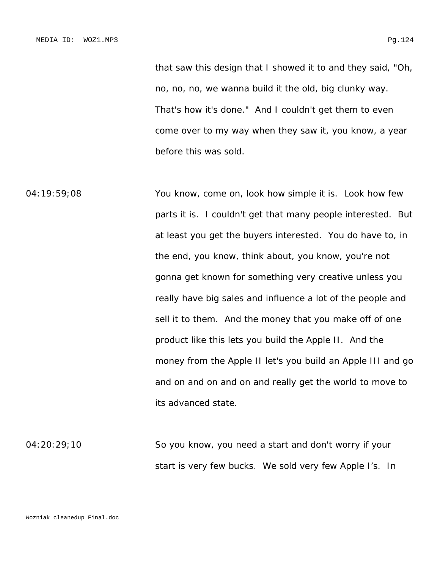that saw this design that I showed it to and they said, "Oh, no, no, no, we wanna build it the old, big clunky way. That's how it's done." And I couldn't get them to even come over to my way when they saw it, you know, a year before this was sold.

04:19:59;08 You know, come on, look how simple it is. Look how few parts it is. I couldn't get that many people interested. But at least you get the buyers interested. You do have to, in the end, you know, think about, you know, you're not gonna get known for something very creative unless you really have big sales and influence a lot of the people and sell it to them. And the money that you make off of one product like this lets you build the Apple II. And the money from the Apple II let's you build an Apple III and go and on and on and on and really get the world to move to its advanced state.

04:20:29;10 So you know, you need a start and don't worry if your start is very few bucks. We sold very few Apple I's. In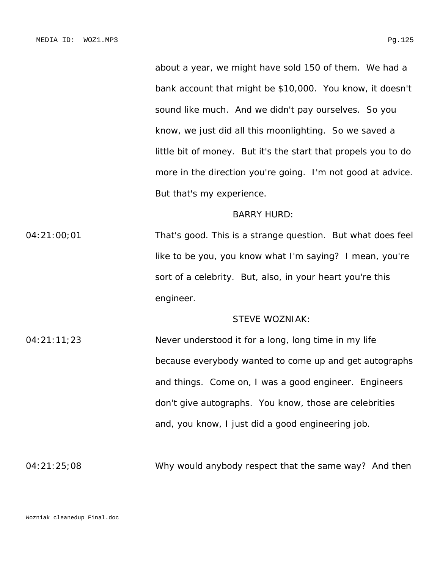about a year, we might have sold 150 of them. We had a bank account that might be \$10,000. You know, it doesn't sound like much. And we didn't pay ourselves. So you know, we just did all this moonlighting. So we saved a little bit of money. But it's the start that propels you to do more in the direction you're going. I'm not good at advice. But that's my experience.

#### BARRY HURD:

04:21:00;01 That's good. This is a strange question. But what does feel like to be you, you know what I'm saying? I mean, you're sort of a celebrity. But, also, in your heart you're this engineer.

#### STEVE WOZNIAK:

04:21:11;23 Never understood it for a long, long time in my life because everybody wanted to come up and get autographs and things. Come on, I was a good engineer. Engineers don't give autographs. You know, those are celebrities and, you know, I just did a good engineering job.

04:21:25;08 Why would anybody respect that the same way? And then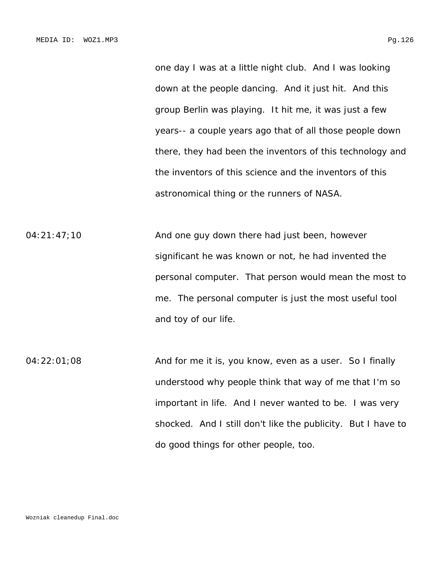one day I was at a little night club. And I was looking down at the people dancing. And it just hit. And this group Berlin was playing. It hit me, it was just a few years-- a couple years ago that of all those people down there, they had been the inventors of this technology and the inventors of this science and the inventors of this astronomical thing or the runners of NASA.

04:21:47;10 And one guy down there had just been, however significant he was known or not, he had invented the personal computer. That person would mean the most to me. The personal computer is just the most useful tool and toy of our life.

04:22:01;08 And for me it is, you know, even as a user. So I finally understood why people think that way of me that I'm so important in life. And I never wanted to be. I was very shocked. And I still don't like the publicity. But I have to do good things for other people, too.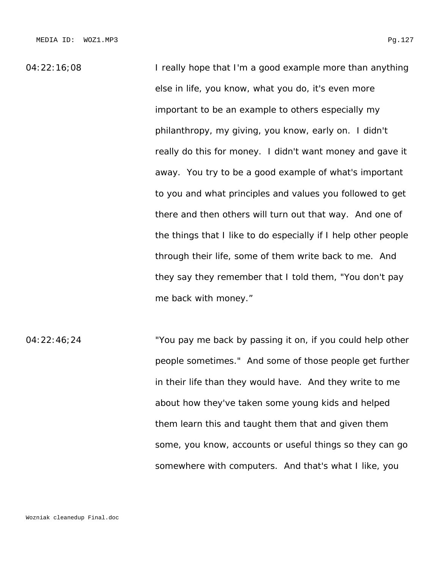04:22:16:08 I really hope that I'm a good example more than anything else in life, you know, what you do, it's even more important to be an example to others especially my philanthropy, my giving, you know, early on. I didn't really do this for money. I didn't want money and gave it away. You try to be a good example of what's important to you and what principles and values you followed to get there and then others will turn out that way. And one of the things that I like to do especially if I help other people through their life, some of them write back to me. And they say they remember that I told them, "You don't pay me back with money."

04:22:46;24 "You pay me back by passing it on, if you could help other people sometimes." And some of those people get further in their life than they would have. And they write to me about how they've taken some young kids and helped them learn this and taught them that and given them some, you know, accounts or useful things so they can go somewhere with computers. And that's what I like, you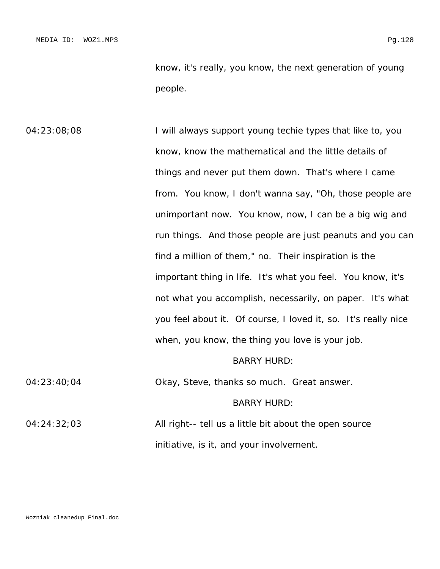know, it's really, you know, the next generation of young people.

04:23:08;08 I will always support young techie types that like to, you know, know the mathematical and the little details of things and never put them down. That's where I came from. You know, I don't wanna say, "Oh, those people are unimportant now. You know, now, I can be a big wig and run things. And those people are just peanuts and you can find a million of them," no. Their inspiration is the important thing in life. It's what you feel. You know, it's not what you accomplish, necessarily, on paper. It's what you feel about it. Of course, I loved it, so. It's really nice when, you know, the thing you love is your job. BARRY HURD: 04:23:40;04 Okay, Steve, thanks so much. Great answer. BARRY HURD:

04:24:32;03 All right-- tell us a little bit about the open source initiative, is it, and your involvement.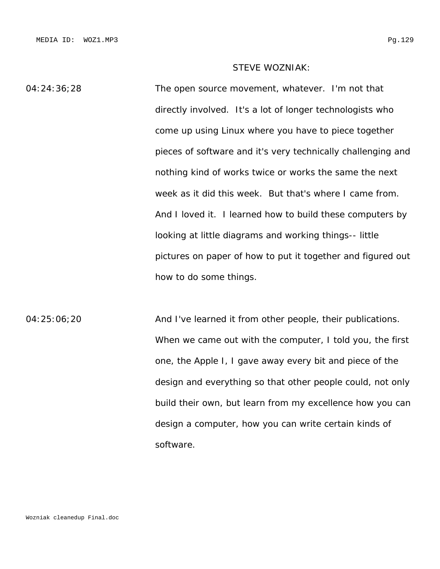# STEVE WOZNIAK:

04:24:36;28 The open source movement, whatever. I'm not that directly involved. It's a lot of longer technologists who come up using Linux where you have to piece together pieces of software and it's very technically challenging and nothing kind of works twice or works the same the next week as it did this week. But that's where I came from. And I loved it. I learned how to build these computers by looking at little diagrams and working things-- little pictures on paper of how to put it together and figured out how to do some things.

04:25:06;20 **And I've learned it from other people, their publications.** When we came out with the computer, I told you, the first one, the Apple I, I gave away every bit and piece of the design and everything so that other people could, not only build their own, but learn from my excellence how you can design a computer, how you can write certain kinds of software.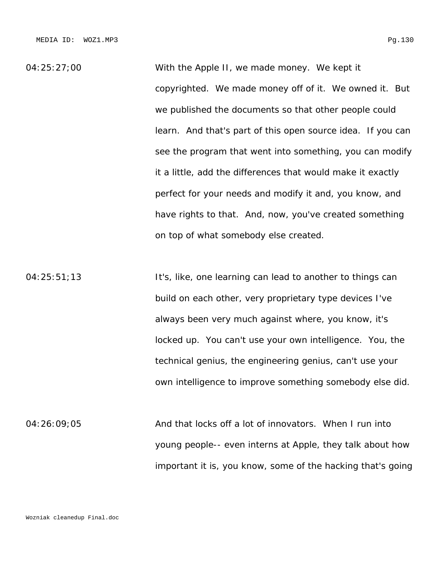04:25:27;00 With the Apple II, we made money. We kept it copyrighted. We made money off of it. We owned it. But we published the documents so that other people could learn. And that's part of this open source idea. If you can see the program that went into something, you can modify it a little, add the differences that would make it exactly perfect for your needs and modify it and, you know, and have rights to that. And, now, you've created something on top of what somebody else created.

04:25:51;13 It's, like, one learning can lead to another to things can build on each other, very proprietary type devices I've always been very much against where, you know, it's locked up. You can't use your own intelligence. You, the technical genius, the engineering genius, can't use your own intelligence to improve something somebody else did.

04:26:09;05 And that locks off a lot of innovators. When I run into young people-- even interns at Apple, they talk about how important it is, you know, some of the hacking that's going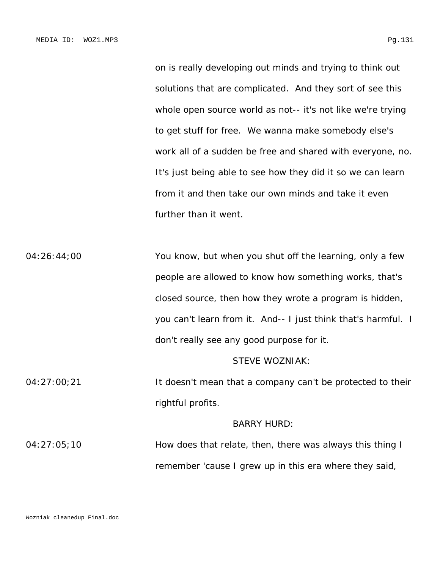on is really developing out minds and trying to think out solutions that are complicated. And they sort of see this whole open source world as not-- it's not like we're trying to get stuff for free. We wanna make somebody else's work all of a sudden be free and shared with everyone, no. It's just being able to see how they did it so we can learn from it and then take our own minds and take it even further than it went.

04:26:44;00 You know, but when you shut off the learning, only a few people are allowed to know how something works, that's closed source, then how they wrote a program is hidden, you can't learn from it. And-- I just think that's harmful. I don't really see any good purpose for it.

### STEVE WOZNIAK:

04:27:00;21 It doesn't mean that a company can't be protected to their rightful profits.

#### BARRY HURD:

04:27:05;10 How does that relate, then, there was always this thing I remember 'cause I grew up in this era where they said,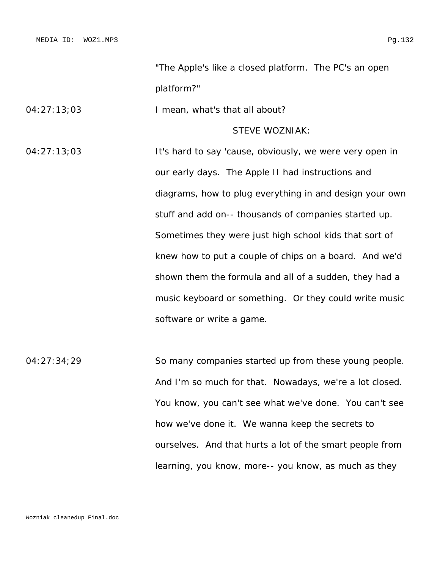"The Apple's like a closed platform. The PC's an open platform?"

04:27:13;03 I mean, what's that all about?

# STEVE WOZNIAK:

04:27:13;03 It's hard to say 'cause, obviously, we were very open in our early days. The Apple II had instructions and diagrams, how to plug everything in and design your own stuff and add on-- thousands of companies started up. Sometimes they were just high school kids that sort of knew how to put a couple of chips on a board. And we'd shown them the formula and all of a sudden, they had a music keyboard or something. Or they could write music software or write a game.

04:27:34;29 So many companies started up from these young people. And I'm so much for that. Nowadays, we're a lot closed. You know, you can't see what we've done. You can't see how we've done it. We wanna keep the secrets to ourselves. And that hurts a lot of the smart people from learning, you know, more-- you know, as much as they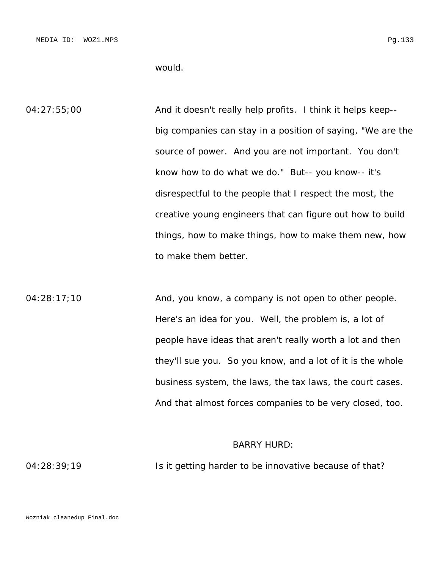would.

04:27:55;00 And it doesn't really help profits. I think it helps keep-big companies can stay in a position of saying, "We are the source of power. And you are not important. You don't know how to do what we do." But-- you know-- it's disrespectful to the people that I respect the most, the creative young engineers that can figure out how to build things, how to make things, how to make them new, how to make them better.

 $04:28:17;10$  And, you know, a company is not open to other people. Here's an idea for you. Well, the problem is, a lot of people have ideas that aren't really worth a lot and then they'll sue you. So you know, and a lot of it is the whole business system, the laws, the tax laws, the court cases. And that almost forces companies to be very closed, too.

#### BARRY HURD:

04:28:39;19 Is it getting harder to be innovative because of that?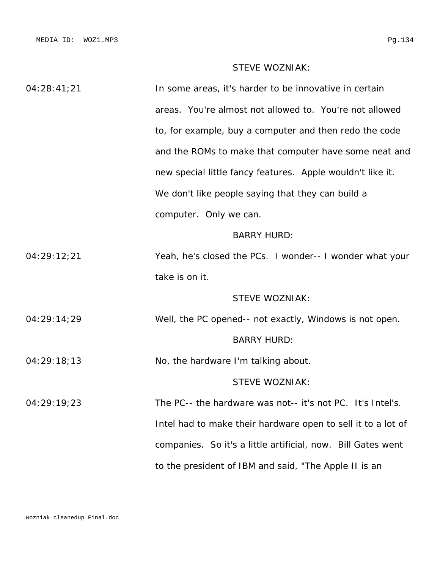# STEVE WOZNIAK:

| 04:28:41;21 | In some areas, it's harder to be innovative in certain       |
|-------------|--------------------------------------------------------------|
|             | areas. You're almost not allowed to. You're not allowed      |
|             | to, for example, buy a computer and then redo the code       |
|             | and the ROMs to make that computer have some neat and        |
|             | new special little fancy features. Apple wouldn't like it.   |
|             | We don't like people saying that they can build a            |
|             | computer. Only we can.                                       |
|             | <b>BARRY HURD:</b>                                           |
| 04:29:12;21 | Yeah, he's closed the PCs. I wonder-- I wonder what your     |
|             | take is on it.                                               |
|             | <b>STEVE WOZNIAK:</b>                                        |
| 04:29:14;29 | Well, the PC opened-- not exactly, Windows is not open.      |
|             | <b>BARRY HURD:</b>                                           |
| 04:29:18;13 | No, the hardware I'm talking about.                          |
|             | <b>STEVE WOZNIAK:</b>                                        |
| 04:29:19;23 | The PC-- the hardware was not-- it's not PC. It's Intel's.   |
|             | Intel had to make their hardware open to sell it to a lot of |
|             | companies. So it's a little artificial, now. Bill Gates went |
|             | to the president of IBM and said, "The Apple II is an        |